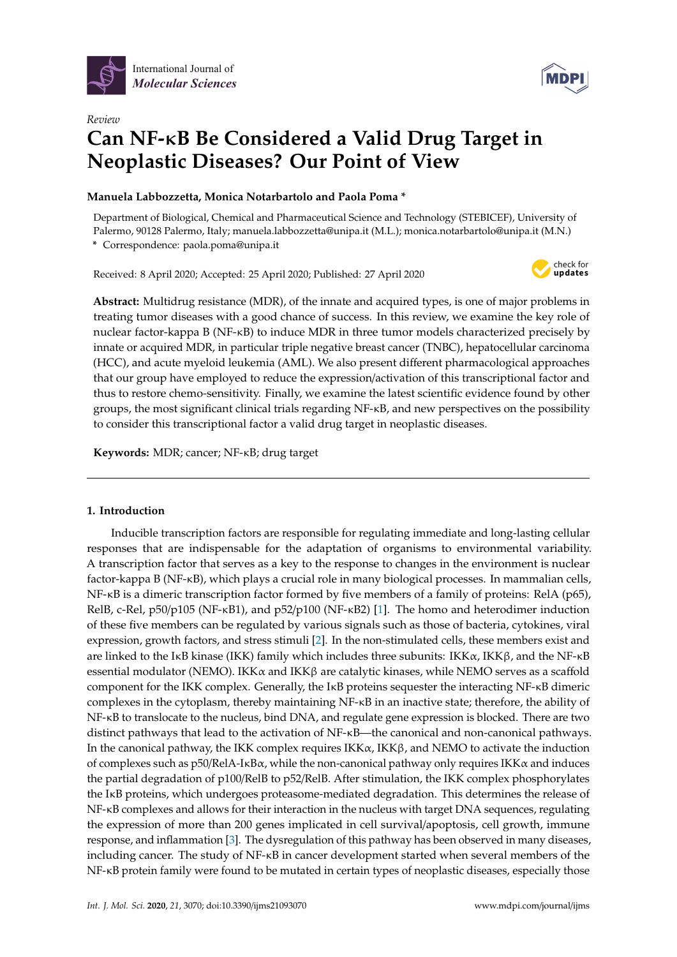



# *Review* **Can NF-**κ**B Be Considered a Valid Drug Target in Neoplastic Diseases? Our Point of View**

# **Manuela Labbozzetta, Monica Notarbartolo and Paola Poma \***

Department of Biological, Chemical and Pharmaceutical Science and Technology (STEBICEF), University of Palermo, 90128 Palermo, Italy; manuela.labbozzetta@unipa.it (M.L.); monica.notarbartolo@unipa.it (M.N.)

**\*** Correspondence: paola.poma@unipa.it

Received: 8 April 2020; Accepted: 25 April 2020; Published: 27 April 2020



**Abstract:** Multidrug resistance (MDR), of the innate and acquired types, is one of major problems in treating tumor diseases with a good chance of success. In this review, we examine the key role of nuclear factor-kappa B (NF-κB) to induce MDR in three tumor models characterized precisely by innate or acquired MDR, in particular triple negative breast cancer (TNBC), hepatocellular carcinoma (HCC), and acute myeloid leukemia (AML). We also present different pharmacological approaches that our group have employed to reduce the expression/activation of this transcriptional factor and thus to restore chemo-sensitivity. Finally, we examine the latest scientific evidence found by other groups, the most significant clinical trials regarding NF-κB, and new perspectives on the possibility to consider this transcriptional factor a valid drug target in neoplastic diseases.

**Keywords:** MDR; cancer; NF-κB; drug target

## **1. Introduction**

Inducible transcription factors are responsible for regulating immediate and long-lasting cellular responses that are indispensable for the adaptation of organisms to environmental variability. A transcription factor that serves as a key to the response to changes in the environment is nuclear factor-kappa B (NF-κB), which plays a crucial role in many biological processes. In mammalian cells, NF-κB is a dimeric transcription factor formed by five members of a family of proteins: RelA (p65), RelB, c-Rel, p50/p105 (NF-κB1), and p52/p100 (NF-κB2) [\[1\]](#page-12-0). The homo and heterodimer induction of these five members can be regulated by various signals such as those of bacteria, cytokines, viral expression, growth factors, and stress stimuli [\[2\]](#page-12-1). In the non-stimulated cells, these members exist and are linked to the IKB kinase (IKK) family which includes three subunits: IKK $\alpha$ , IKK $\beta$ , and the NF-KB essential modulator (NEMO). IKK $\alpha$  and IKK $\beta$  are catalytic kinases, while NEMO serves as a scaffold component for the IKK complex. Generally, the IκB proteins sequester the interacting NF-κB dimeric complexes in the cytoplasm, thereby maintaining NF-κB in an inactive state; therefore, the ability of NF-κB to translocate to the nucleus, bind DNA, and regulate gene expression is blocked. There are two distinct pathways that lead to the activation of NF-κB—the canonical and non-canonical pathways. In the canonical pathway, the IKK complex requires  $IKK\alpha$ ,  $IKK\beta$ , and NEMO to activate the induction of complexes such as  $p50/RelA-I\kappa B\alpha$ , while the non-canonical pathway only requires IKK $\alpha$  and induces the partial degradation of p100/RelB to p52/RelB. After stimulation, the IKK complex phosphorylates the IκB proteins, which undergoes proteasome-mediated degradation. This determines the release of NF-κB complexes and allows for their interaction in the nucleus with target DNA sequences, regulating the expression of more than 200 genes implicated in cell survival/apoptosis, cell growth, immune response, and inflammation [\[3\]](#page-12-2). The dysregulation of this pathway has been observed in many diseases, including cancer. The study of NF-κB in cancer development started when several members of the NF-κB protein family were found to be mutated in certain types of neoplastic diseases, especially those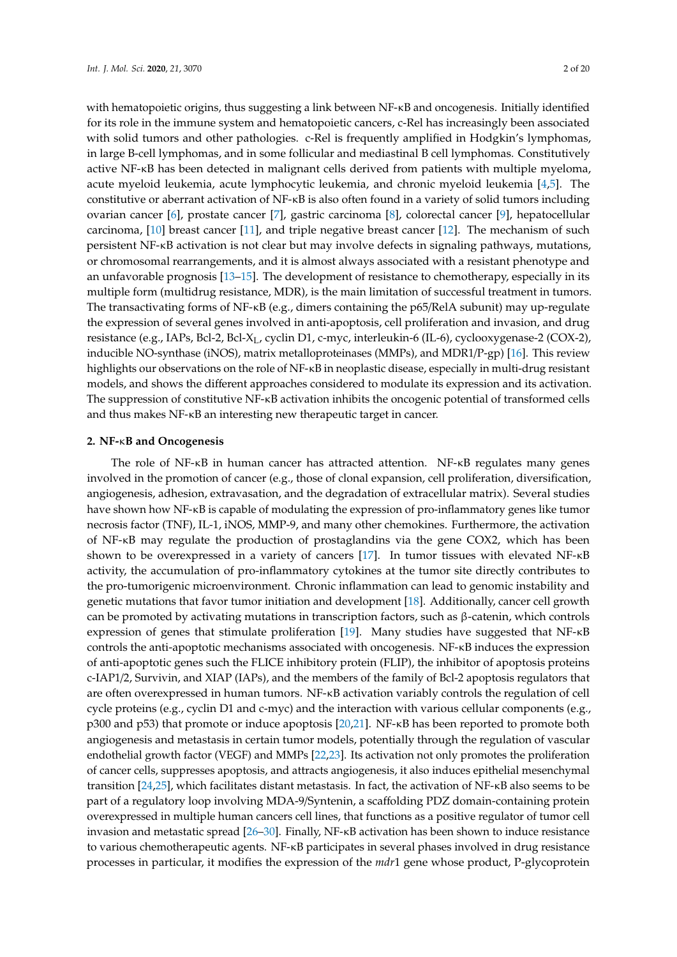with hematopoietic origins, thus suggesting a link between NF-κB and oncogenesis. Initially identified for its role in the immune system and hematopoietic cancers, c-Rel has increasingly been associated with solid tumors and other pathologies. c-Rel is frequently amplified in Hodgkin's lymphomas, in large B-cell lymphomas, and in some follicular and mediastinal B cell lymphomas. Constitutively active NF-κB has been detected in malignant cells derived from patients with multiple myeloma, acute myeloid leukemia, acute lymphocytic leukemia, and chronic myeloid leukemia [\[4,](#page-12-3)[5\]](#page-12-4). The constitutive or aberrant activation of NF-κB is also often found in a variety of solid tumors including ovarian cancer [\[6\]](#page-12-5), prostate cancer [\[7\]](#page-12-6), gastric carcinoma [\[8\]](#page-12-7), colorectal cancer [\[9\]](#page-12-8), hepatocellular carcinoma, [\[10\]](#page-12-9) breast cancer [\[11\]](#page-12-10), and triple negative breast cancer [\[12\]](#page-12-11). The mechanism of such persistent NF-κB activation is not clear but may involve defects in signaling pathways, mutations, or chromosomal rearrangements, and it is almost always associated with a resistant phenotype and an unfavorable prognosis [\[13–](#page-12-12)[15\]](#page-12-13). The development of resistance to chemotherapy, especially in its multiple form (multidrug resistance, MDR), is the main limitation of successful treatment in tumors. The transactivating forms of NF-κB (e.g., dimers containing the p65/RelA subunit) may up-regulate the expression of several genes involved in anti-apoptosis, cell proliferation and invasion, and drug resistance (e.g., IAPs, Bcl-2, Bcl-X<sub>L</sub>, cyclin D1, c-myc, interleukin-6 (IL-6), cyclooxygenase-2 (COX-2), inducible NO-synthase (iNOS), matrix metalloproteinases (MMPs), and MDR1/P-gp) [\[16\]](#page-12-14). This review highlights our observations on the role of NF-κB in neoplastic disease, especially in multi-drug resistant models, and shows the different approaches considered to modulate its expression and its activation. The suppression of constitutive NF-κB activation inhibits the oncogenic potential of transformed cells and thus makes NF-κB an interesting new therapeutic target in cancer.

## **2. NF-**κ**B and Oncogenesis**

The role of NF-κB in human cancer has attracted attention. NF-κB regulates many genes involved in the promotion of cancer (e.g., those of clonal expansion, cell proliferation, diversification, angiogenesis, adhesion, extravasation, and the degradation of extracellular matrix). Several studies have shown how NF-κB is capable of modulating the expression of pro-inflammatory genes like tumor necrosis factor (TNF), IL-1, iNOS, MMP-9, and many other chemokines. Furthermore, the activation of NF-κB may regulate the production of prostaglandins via the gene COX2, which has been shown to be overexpressed in a variety of cancers [\[17\]](#page-13-0). In tumor tissues with elevated NF-κB activity, the accumulation of pro-inflammatory cytokines at the tumor site directly contributes to the pro-tumorigenic microenvironment. Chronic inflammation can lead to genomic instability and genetic mutations that favor tumor initiation and development [\[18\]](#page-13-1). Additionally, cancer cell growth can be promoted by activating mutations in transcription factors, such as β-catenin, which controls expression of genes that stimulate proliferation [\[19\]](#page-13-2). Many studies have suggested that NF-κB controls the anti-apoptotic mechanisms associated with oncogenesis. NF-κB induces the expression of anti-apoptotic genes such the FLICE inhibitory protein (FLIP), the inhibitor of apoptosis proteins c-IAP1/2, Survivin, and XIAP (IAPs), and the members of the family of Bcl-2 apoptosis regulators that are often overexpressed in human tumors. NF-κB activation variably controls the regulation of cell cycle proteins (e.g., cyclin D1 and c-myc) and the interaction with various cellular components (e.g., p300 and p53) that promote or induce apoptosis [\[20](#page-13-3)[,21\]](#page-13-4). NF-κB has been reported to promote both angiogenesis and metastasis in certain tumor models, potentially through the regulation of vascular endothelial growth factor (VEGF) and MMPs [\[22](#page-13-5)[,23\]](#page-13-6). Its activation not only promotes the proliferation of cancer cells, suppresses apoptosis, and attracts angiogenesis, it also induces epithelial mesenchymal transition [\[24](#page-13-7)[,25\]](#page-13-8), which facilitates distant metastasis. In fact, the activation of NF-κB also seems to be part of a regulatory loop involving MDA-9/Syntenin, a scaffolding PDZ domain-containing protein overexpressed in multiple human cancers cell lines, that functions as a positive regulator of tumor cell invasion and metastatic spread [\[26–](#page-13-9)[30\]](#page-13-10). Finally, NF-κB activation has been shown to induce resistance to various chemotherapeutic agents. NF-κB participates in several phases involved in drug resistance processes in particular, it modifies the expression of the *mdr*1 gene whose product, P-glycoprotein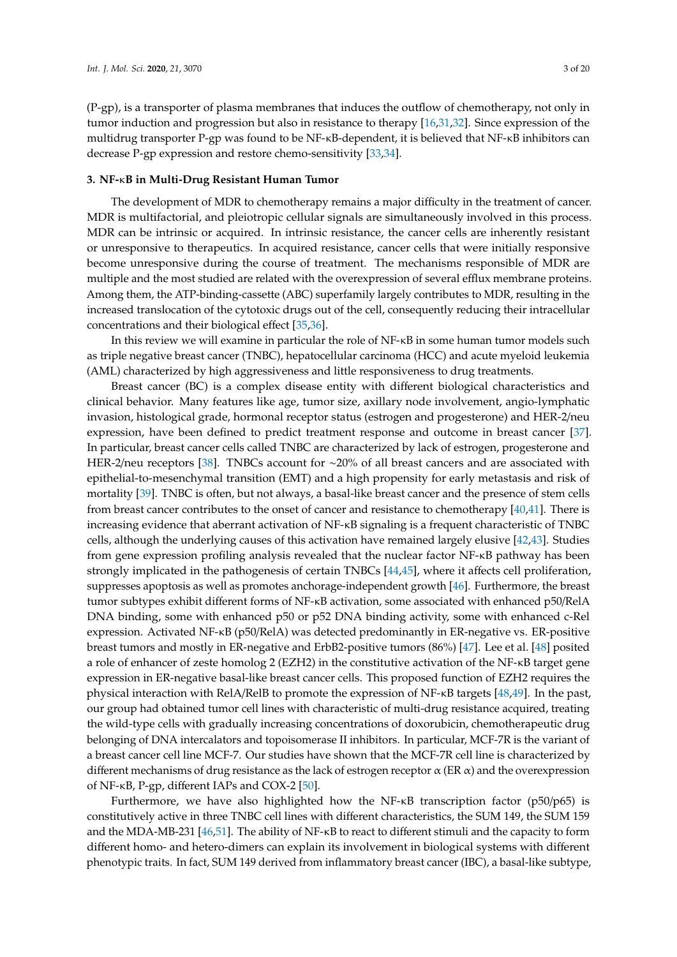(P-gp), is a transporter of plasma membranes that induces the outflow of chemotherapy, not only in tumor induction and progression but also in resistance to therapy [\[16](#page-12-14)[,31](#page-13-11)[,32\]](#page-13-12). Since expression of the multidrug transporter P-gp was found to be NF-κB-dependent, it is believed that NF-κB inhibitors can decrease P-gp expression and restore chemo-sensitivity [\[33,](#page-13-13)[34\]](#page-13-14).

#### **3. NF-**κ**B in Multi-Drug Resistant Human Tumor**

The development of MDR to chemotherapy remains a major difficulty in the treatment of cancer. MDR is multifactorial, and pleiotropic cellular signals are simultaneously involved in this process. MDR can be intrinsic or acquired. In intrinsic resistance, the cancer cells are inherently resistant or unresponsive to therapeutics. In acquired resistance, cancer cells that were initially responsive become unresponsive during the course of treatment. The mechanisms responsible of MDR are multiple and the most studied are related with the overexpression of several efflux membrane proteins. Among them, the ATP-binding-cassette (ABC) superfamily largely contributes to MDR, resulting in the increased translocation of the cytotoxic drugs out of the cell, consequently reducing their intracellular concentrations and their biological effect [\[35](#page-13-15)[,36\]](#page-13-16).

In this review we will examine in particular the role of NF-κB in some human tumor models such as triple negative breast cancer (TNBC), hepatocellular carcinoma (HCC) and acute myeloid leukemia (AML) characterized by high aggressiveness and little responsiveness to drug treatments.

Breast cancer (BC) is a complex disease entity with different biological characteristics and clinical behavior. Many features like age, tumor size, axillary node involvement, angio-lymphatic invasion, histological grade, hormonal receptor status (estrogen and progesterone) and HER-2/neu expression, have been defined to predict treatment response and outcome in breast cancer [\[37\]](#page-13-17). In particular, breast cancer cells called TNBC are characterized by lack of estrogen, progesterone and HER-2/neu receptors [\[38\]](#page-13-18). TNBCs account for ∼20% of all breast cancers and are associated with epithelial-to-mesenchymal transition (EMT) and a high propensity for early metastasis and risk of mortality [\[39\]](#page-14-0). TNBC is often, but not always, a basal-like breast cancer and the presence of stem cells from breast cancer contributes to the onset of cancer and resistance to chemotherapy [\[40,](#page-14-1)[41\]](#page-14-2). There is increasing evidence that aberrant activation of NF-κB signaling is a frequent characteristic of TNBC cells, although the underlying causes of this activation have remained largely elusive [\[42,](#page-14-3)[43\]](#page-14-4). Studies from gene expression profiling analysis revealed that the nuclear factor NF-κB pathway has been strongly implicated in the pathogenesis of certain TNBCs [\[44](#page-14-5)[,45\]](#page-14-6), where it affects cell proliferation, suppresses apoptosis as well as promotes anchorage-independent growth [\[46\]](#page-14-7). Furthermore, the breast tumor subtypes exhibit different forms of NF-κB activation, some associated with enhanced p50/RelA DNA binding, some with enhanced p50 or p52 DNA binding activity, some with enhanced c-Rel expression. Activated NF-κB (p50/RelA) was detected predominantly in ER-negative vs. ER-positive breast tumors and mostly in ER-negative and ErbB2-positive tumors (86%) [\[47\]](#page-14-8). Lee et al. [\[48\]](#page-14-9) posited a role of enhancer of zeste homolog 2 (EZH2) in the constitutive activation of the NF-κB target gene expression in ER-negative basal-like breast cancer cells. This proposed function of EZH2 requires the physical interaction with RelA/RelB to promote the expression of NF-κB targets [\[48,](#page-14-9)[49\]](#page-14-10). In the past, our group had obtained tumor cell lines with characteristic of multi-drug resistance acquired, treating the wild-type cells with gradually increasing concentrations of doxorubicin, chemotherapeutic drug belonging of DNA intercalators and topoisomerase II inhibitors. In particular, MCF-7R is the variant of a breast cancer cell line MCF-7. Our studies have shown that the MCF-7R cell line is characterized by different mechanisms of drug resistance as the lack of estrogen receptor  $\alpha$  (ER  $\alpha$ ) and the overexpression of NF-κB, P-gp, different IAPs and COX-2 [\[50\]](#page-14-11).

Furthermore, we have also highlighted how the NF-κB transcription factor (p50/p65) is constitutively active in three TNBC cell lines with different characteristics, the SUM 149, the SUM 159 and the MDA-MB-231 [\[46](#page-14-7)[,51\]](#page-14-12). The ability of NF-κB to react to different stimuli and the capacity to form different homo- and hetero-dimers can explain its involvement in biological systems with different phenotypic traits. In fact, SUM 149 derived from inflammatory breast cancer (IBC), a basal-like subtype,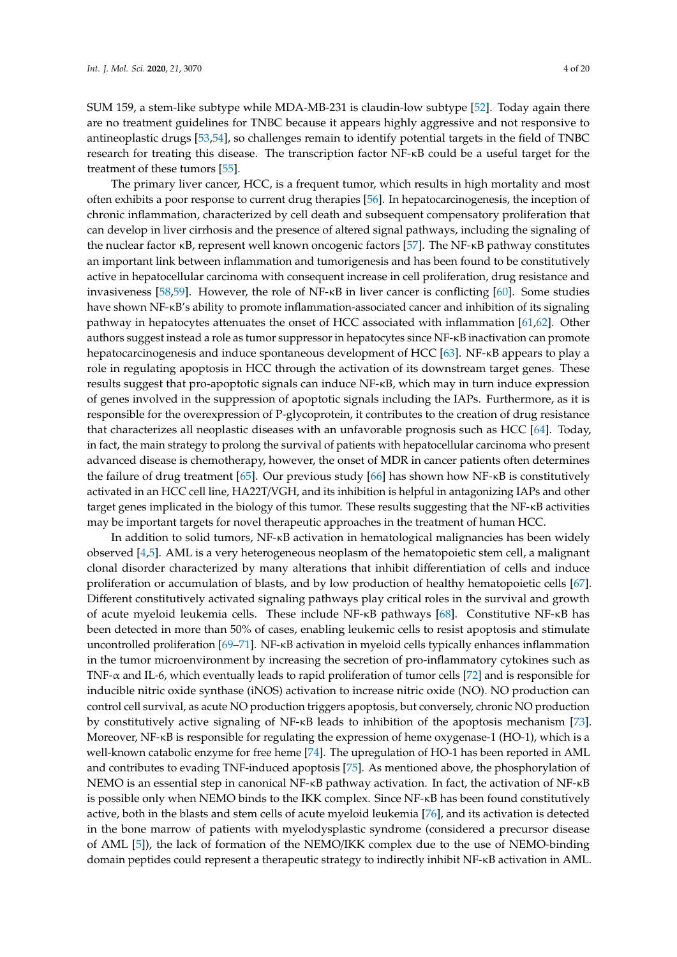SUM 159, a stem-like subtype while MDA-MB-231 is claudin-low subtype [\[52\]](#page-14-13). Today again there are no treatment guidelines for TNBC because it appears highly aggressive and not responsive to antineoplastic drugs [\[53](#page-14-14)[,54\]](#page-14-15), so challenges remain to identify potential targets in the field of TNBC research for treating this disease. The transcription factor NF-κB could be a useful target for the treatment of these tumors [\[55\]](#page-14-16).

The primary liver cancer, HCC, is a frequent tumor, which results in high mortality and most often exhibits a poor response to current drug therapies [\[56\]](#page-14-17). In hepatocarcinogenesis, the inception of chronic inflammation, characterized by cell death and subsequent compensatory proliferation that can develop in liver cirrhosis and the presence of altered signal pathways, including the signaling of the nuclear factor κB, represent well known oncogenic factors [\[57\]](#page-14-18). The NF-κB pathway constitutes an important link between inflammation and tumorigenesis and has been found to be constitutively active in hepatocellular carcinoma with consequent increase in cell proliferation, drug resistance and invasiveness [\[58,](#page-14-19)[59\]](#page-15-0). However, the role of NF-κB in liver cancer is conflicting [\[60\]](#page-15-1). Some studies have shown NF-κB's ability to promote inflammation-associated cancer and inhibition of its signaling pathway in hepatocytes attenuates the onset of HCC associated with inflammation [\[61,](#page-15-2)[62\]](#page-15-3). Other authors suggest instead a role as tumor suppressor in hepatocytes since NF-κB inactivation can promote hepatocarcinogenesis and induce spontaneous development of HCC [\[63\]](#page-15-4). NF-κB appears to play a role in regulating apoptosis in HCC through the activation of its downstream target genes. These results suggest that pro-apoptotic signals can induce NF-κB, which may in turn induce expression of genes involved in the suppression of apoptotic signals including the IAPs. Furthermore, as it is responsible for the overexpression of P-glycoprotein, it contributes to the creation of drug resistance that characterizes all neoplastic diseases with an unfavorable prognosis such as HCC [\[64\]](#page-15-5). Today, in fact, the main strategy to prolong the survival of patients with hepatocellular carcinoma who present advanced disease is chemotherapy, however, the onset of MDR in cancer patients often determines the failure of drug treatment [\[65\]](#page-15-6). Our previous study [\[66\]](#page-15-7) has shown how NF-κB is constitutively activated in an HCC cell line, HA22T/VGH, and its inhibition is helpful in antagonizing IAPs and other target genes implicated in the biology of this tumor. These results suggesting that the NF-κB activities may be important targets for novel therapeutic approaches in the treatment of human HCC.

In addition to solid tumors, NF-κB activation in hematological malignancies has been widely observed [\[4,](#page-12-3)[5\]](#page-12-4). AML is a very heterogeneous neoplasm of the hematopoietic stem cell, a malignant clonal disorder characterized by many alterations that inhibit differentiation of cells and induce proliferation or accumulation of blasts, and by low production of healthy hematopoietic cells [\[67\]](#page-15-8). Different constitutively activated signaling pathways play critical roles in the survival and growth of acute myeloid leukemia cells. These include NF-κB pathways [\[68\]](#page-15-9). Constitutive NF-κB has been detected in more than 50% of cases, enabling leukemic cells to resist apoptosis and stimulate uncontrolled proliferation [\[69](#page-15-10)[–71\]](#page-15-11). NF-κB activation in myeloid cells typically enhances inflammation in the tumor microenvironment by increasing the secretion of pro-inflammatory cytokines such as TNF-α and IL-6, which eventually leads to rapid proliferation of tumor cells [\[72\]](#page-15-12) and is responsible for inducible nitric oxide synthase (iNOS) activation to increase nitric oxide (NO). NO production can control cell survival, as acute NO production triggers apoptosis, but conversely, chronic NO production by constitutively active signaling of NF-κB leads to inhibition of the apoptosis mechanism [\[73\]](#page-15-13). Moreover, NF-κB is responsible for regulating the expression of heme oxygenase-1 (HO-1), which is a well-known catabolic enzyme for free heme [\[74\]](#page-15-14). The upregulation of HO-1 has been reported in AML and contributes to evading TNF-induced apoptosis [\[75\]](#page-15-15). As mentioned above, the phosphorylation of NEMO is an essential step in canonical NF-κB pathway activation. In fact, the activation of NF-κB is possible only when NEMO binds to the IKK complex. Since NF-κB has been found constitutively active, both in the blasts and stem cells of acute myeloid leukemia [\[76\]](#page-15-16), and its activation is detected in the bone marrow of patients with myelodysplastic syndrome (considered a precursor disease of AML [\[5\]](#page-12-4)), the lack of formation of the NEMO/IKK complex due to the use of NEMO-binding domain peptides could represent a therapeutic strategy to indirectly inhibit NF-κB activation in AML.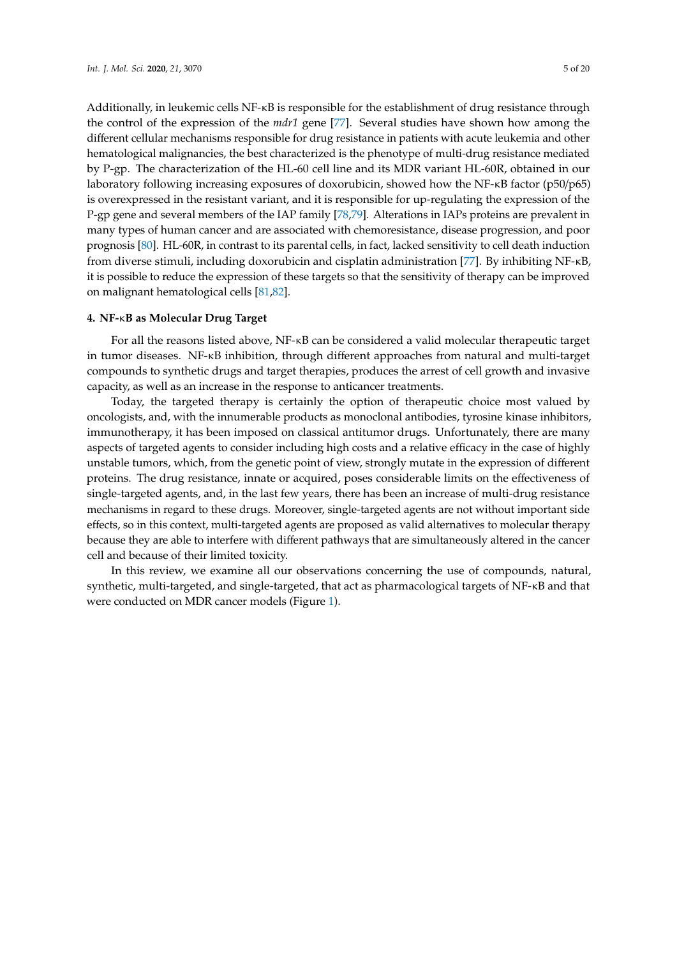Additionally, in leukemic cells NF-κB is responsible for the establishment of drug resistance through the control of the expression of the *mdr1* gene [\[77\]](#page-15-17). Several studies have shown how among the different cellular mechanisms responsible for drug resistance in patients with acute leukemia and other hematological malignancies, the best characterized is the phenotype of multi-drug resistance mediated by P-gp. The characterization of the HL-60 cell line and its MDR variant HL-60R, obtained in our laboratory following increasing exposures of doxorubicin, showed how the NF-κB factor (p50/p65) is overexpressed in the resistant variant, and it is responsible for up-regulating the expression of the P-gp gene and several members of the IAP family [\[78,](#page-15-18)[79\]](#page-16-0). Alterations in IAPs proteins are prevalent in many types of human cancer and are associated with chemoresistance, disease progression, and poor prognosis [\[80\]](#page-16-1). HL-60R, in contrast to its parental cells, in fact, lacked sensitivity to cell death induction from diverse stimuli, including doxorubicin and cisplatin administration [\[77\]](#page-15-17). By inhibiting NF-κB, it is possible to reduce the expression of these targets so that the sensitivity of therapy can be improved on malignant hematological cells [\[81](#page-16-2)[,82\]](#page-16-3).

### **4. NF-**κ**B as Molecular Drug Target**

For all the reasons listed above, NF-κB can be considered a valid molecular therapeutic target in tumor diseases. NF-κB inhibition, through different approaches from natural and multi-target compounds to synthetic drugs and target therapies, produces the arrest of cell growth and invasive capacity, as well as an increase in the response to anticancer treatments.

Today, the targeted therapy is certainly the option of therapeutic choice most valued by oncologists, and, with the innumerable products as monoclonal antibodies, tyrosine kinase inhibitors, immunotherapy, it has been imposed on classical antitumor drugs. Unfortunately, there are many aspects of targeted agents to consider including high costs and a relative efficacy in the case of highly unstable tumors, which, from the genetic point of view, strongly mutate in the expression of different proteins. The drug resistance, innate or acquired, poses considerable limits on the effectiveness of single-targeted agents, and, in the last few years, there has been an increase of multi-drug resistance mechanisms in regard to these drugs. Moreover, single-targeted agents are not without important side effects, so in this context, multi-targeted agents are proposed as valid alternatives to molecular therapy because they are able to interfere with different pathways that are simultaneously altered in the cancer cell and because of their limited toxicity.

In this review, we examine all our observations concerning the use of compounds, natural, synthetic, multi-targeted, and single-targeted, that act as pharmacological targets of NF-κB and that were conducted on MDR cancer models (Figure [1\)](#page-5-0).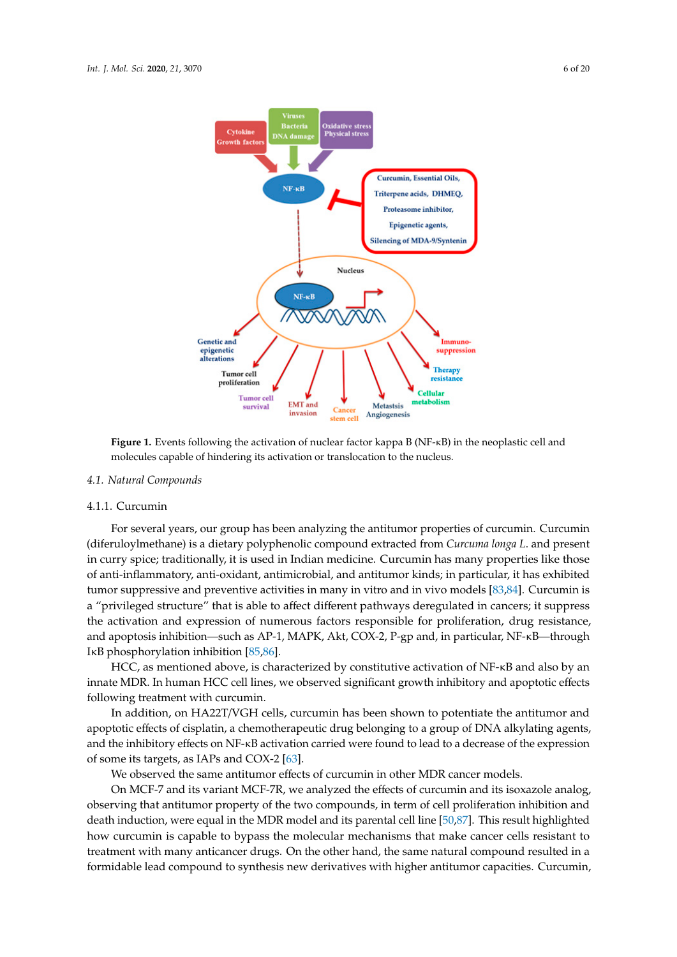<span id="page-5-0"></span>

**Figure 1.** Events following the activation of nuclear factor kappa B (NF-κB) in the neoplastic cell and **Figure 1.** Events following the activation of nuclear factor kappa B (NF-κB) in the neoplastic cell and molecules capable of hindering its activation or translocation to the nucleus. molecules capable of hindering its activation or translocation to the nucleus.

# *4.1. Natural Compounds 4.1. Natural Compounds*

#### 4.1.1. Curcumin

(diferuloylmethane) is a dietary polyphenolic compound extracted from *Curcuma longa L*. and present in curry spice; traditionally, it is used in Indian medicine. Curcumin has many properties like those of anti-inflammatory, anti-oxidant, antimicrobial, and antitumor kinds; in particular, it has exhibited tumor suppressive and preventive activities in many in vitro and in vivo models [\[83](#page-16-4)[,84\]](#page-16-5). Curcumin is a "privileged structure" that is able to affect different pathways deregulated in cancers; it suppress the activation and expression of numerous factors responsible for proliferation, drug resistance, and apoptosis inhibition—such as AP-1, MAPK, Akt, COX-2, P-gp and, in particular, NF-KB—through IκB phosphorylation inhibition [\[85](#page-16-6)[,86\]](#page-16-7). For several years, our group has been analyzing the antitumor properties of curcumin. Curcumin

INCC, as mentioned above, is characterized by constitutive activation of NF-κB and also by an innate MDR. In human HCC cell lines, we observed significant growth inhibitory and apoptotic effects following treatment with curcumin.

In addition, on HA22T/VGH cells, curcumin has been shown to potentiate the antitumor and apoptotic effects of cisplatin, a chemotherapeutic drug belonging to a group of DNA alkylating agents, and the inhibitory effects on NF-κB activation carried were found to lead to a decrease of the expression of some its targets, as IAPs and COX-2 [\[63\]](#page-15-4).

We observed the same antitumor effects of curcumin in other MDR cancer models.

On MCF-7 and its variant MCF-7R, we analyzed the effects of curcumin and its isoxazole analog, observing that antitumor property of the two compounds, in term of cell proliferation inhibition and death induction, were equal in the MDR model and its parental cell line [\[50](#page-14-11)[,87\]](#page-16-8). This result highlighted how curcumin is capable to bypass the molecular mechanisms that make cancer cells resistant to treatment with many anticancer drugs. On the other hand, the same natural compound resulted in a formidable lead compound to synthesis new derivatives with higher antitumor capacities. Curcumin, compound in a formidable lead compound to synthesis new derivatives with higher synthesis new derivatives with h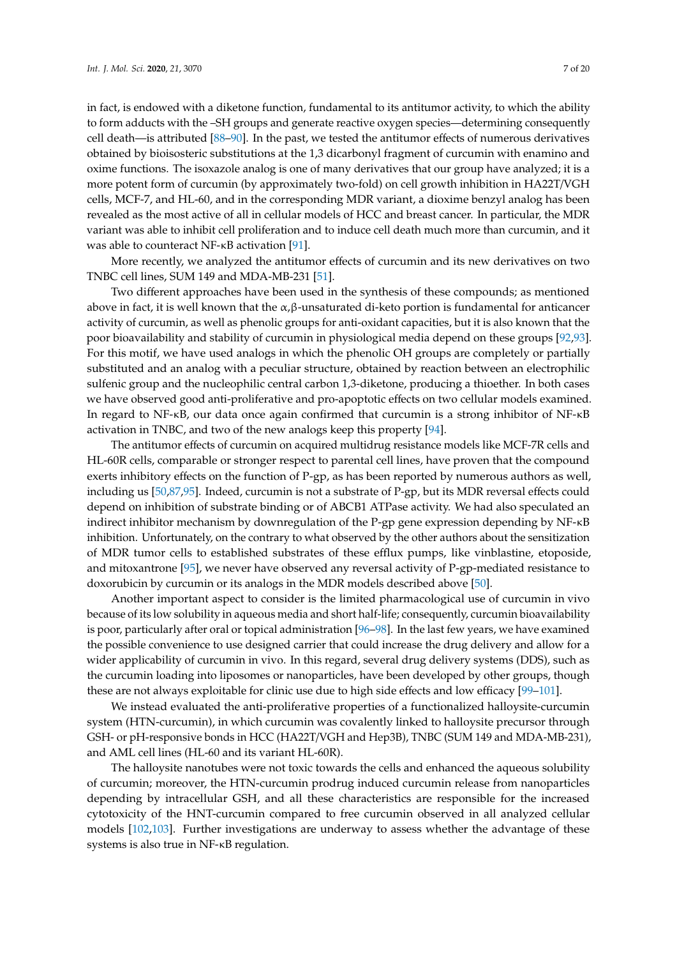in fact, is endowed with a diketone function, fundamental to its antitumor activity, to which the ability to form adducts with the –SH groups and generate reactive oxygen species—determining consequently cell death—is attributed [\[88](#page-16-9)[–90\]](#page-16-10). In the past, we tested the antitumor effects of numerous derivatives obtained by bioisosteric substitutions at the 1,3 dicarbonyl fragment of curcumin with enamino and oxime functions. The isoxazole analog is one of many derivatives that our group have analyzed; it is a more potent form of curcumin (by approximately two-fold) on cell growth inhibition in HA22T/VGH cells, MCF-7, and HL-60, and in the corresponding MDR variant, a dioxime benzyl analog has been revealed as the most active of all in cellular models of HCC and breast cancer. In particular, the MDR variant was able to inhibit cell proliferation and to induce cell death much more than curcumin, and it was able to counteract NF-κB activation [\[91\]](#page-16-11).

More recently, we analyzed the antitumor effects of curcumin and its new derivatives on two TNBC cell lines, SUM 149 and MDA-MB-231 [\[51\]](#page-14-12).

Two different approaches have been used in the synthesis of these compounds; as mentioned above in fact, it is well known that the  $\alpha$ , $\beta$ -unsaturated di-keto portion is fundamental for anticancer activity of curcumin, as well as phenolic groups for anti-oxidant capacities, but it is also known that the poor bioavailability and stability of curcumin in physiological media depend on these groups [\[92,](#page-16-12)[93\]](#page-16-13). For this motif, we have used analogs in which the phenolic OH groups are completely or partially substituted and an analog with a peculiar structure, obtained by reaction between an electrophilic sulfenic group and the nucleophilic central carbon 1,3-diketone, producing a thioether. In both cases we have observed good anti-proliferative and pro-apoptotic effects on two cellular models examined. In regard to NF-κB, our data once again confirmed that curcumin is a strong inhibitor of NF-κB activation in TNBC, and two of the new analogs keep this property [\[94\]](#page-16-14).

The antitumor effects of curcumin on acquired multidrug resistance models like MCF-7R cells and HL-60R cells, comparable or stronger respect to parental cell lines, have proven that the compound exerts inhibitory effects on the function of P-gp, as has been reported by numerous authors as well, including us [\[50,](#page-14-11)[87](#page-16-8)[,95\]](#page-16-15). Indeed, curcumin is not a substrate of P-gp, but its MDR reversal effects could depend on inhibition of substrate binding or of ABCB1 ATPase activity. We had also speculated an indirect inhibitor mechanism by downregulation of the P-gp gene expression depending by NF-κB inhibition. Unfortunately, on the contrary to what observed by the other authors about the sensitization of MDR tumor cells to established substrates of these efflux pumps, like vinblastine, etoposide, and mitoxantrone [\[95\]](#page-16-15), we never have observed any reversal activity of P-gp-mediated resistance to doxorubicin by curcumin or its analogs in the MDR models described above [\[50\]](#page-14-11).

Another important aspect to consider is the limited pharmacological use of curcumin in vivo because of its low solubility in aqueous media and short half-life; consequently, curcumin bioavailability is poor, particularly after oral or topical administration [\[96](#page-16-16)[–98\]](#page-16-17). In the last few years, we have examined the possible convenience to use designed carrier that could increase the drug delivery and allow for a wider applicability of curcumin in vivo. In this regard, several drug delivery systems (DDS), such as the curcumin loading into liposomes or nanoparticles, have been developed by other groups, though these are not always exploitable for clinic use due to high side effects and low efficacy [\[99–](#page-17-0)[101\]](#page-17-1).

We instead evaluated the anti-proliferative properties of a functionalized halloysite-curcumin system (HTN-curcumin), in which curcumin was covalently linked to halloysite precursor through GSH- or pH-responsive bonds in HCC (HA22T/VGH and Hep3B), TNBC (SUM 149 and MDA-MB-231), and AML cell lines (HL-60 and its variant HL-60R).

The halloysite nanotubes were not toxic towards the cells and enhanced the aqueous solubility of curcumin; moreover, the HTN-curcumin prodrug induced curcumin release from nanoparticles depending by intracellular GSH, and all these characteristics are responsible for the increased cytotoxicity of the HNT-curcumin compared to free curcumin observed in all analyzed cellular models [\[102,](#page-17-2)[103\]](#page-17-3). Further investigations are underway to assess whether the advantage of these systems is also true in NF-κB regulation.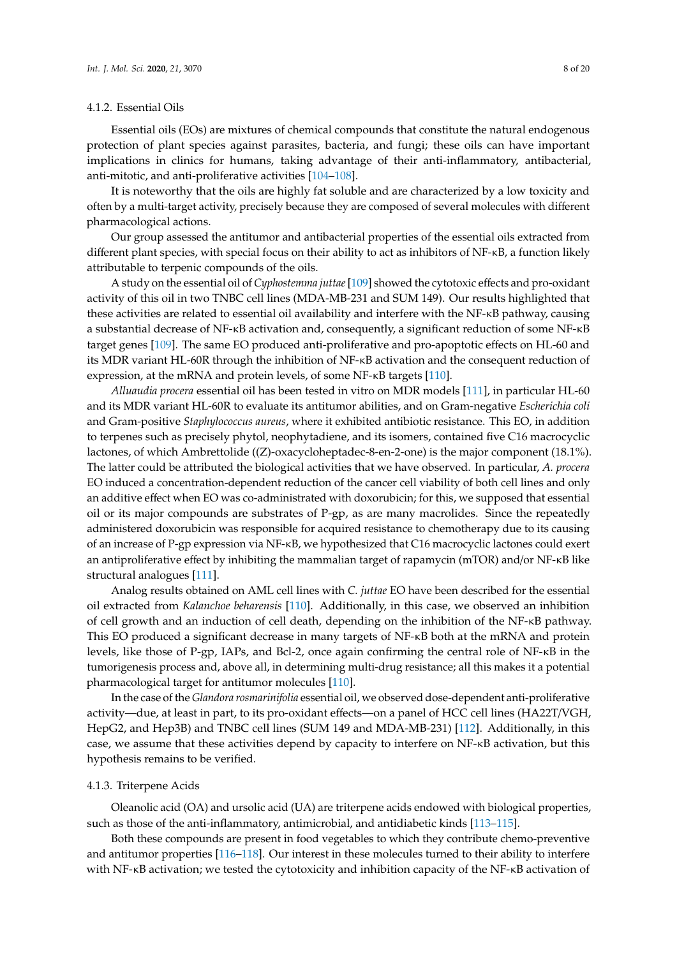#### 4.1.2. Essential Oils

Essential oils (EOs) are mixtures of chemical compounds that constitute the natural endogenous protection of plant species against parasites, bacteria, and fungi; these oils can have important implications in clinics for humans, taking advantage of their anti-inflammatory, antibacterial, anti-mitotic, and anti-proliferative activities [\[104](#page-17-4)[–108\]](#page-17-5).

It is noteworthy that the oils are highly fat soluble and are characterized by a low toxicity and often by a multi-target activity, precisely because they are composed of several molecules with different pharmacological actions.

Our group assessed the antitumor and antibacterial properties of the essential oils extracted from different plant species, with special focus on their ability to act as inhibitors of NF-κB, a function likely attributable to terpenic compounds of the oils.

A study on the essential oil of *Cyphostemma juttae*[\[109\]](#page-17-6) showed the cytotoxic effects and pro-oxidant activity of this oil in two TNBC cell lines (MDA-MB-231 and SUM 149). Our results highlighted that these activities are related to essential oil availability and interfere with the NF-κB pathway, causing a substantial decrease of NF-κB activation and, consequently, a significant reduction of some NF-κB target genes [\[109\]](#page-17-6). The same EO produced anti-proliferative and pro-apoptotic effects on HL-60 and its MDR variant HL-60R through the inhibition of NF-κB activation and the consequent reduction of expression, at the mRNA and protein levels, of some NF-κB targets [\[110\]](#page-17-7).

*Alluaudia procera* essential oil has been tested in vitro on MDR models [\[111\]](#page-17-8), in particular HL-60 and its MDR variant HL-60R to evaluate its antitumor abilities, and on Gram-negative *Escherichia coli* and Gram-positive *Staphylococcus aureus*, where it exhibited antibiotic resistance. This EO, in addition to terpenes such as precisely phytol, neophytadiene, and its isomers, contained five C16 macrocyclic lactones, of which Ambrettolide ((Z)-oxacycloheptadec-8-en-2-one) is the major component (18.1%). The latter could be attributed the biological activities that we have observed. In particular, *A. procera* EO induced a concentration-dependent reduction of the cancer cell viability of both cell lines and only an additive effect when EO was co-administrated with doxorubicin; for this, we supposed that essential oil or its major compounds are substrates of P-gp, as are many macrolides. Since the repeatedly administered doxorubicin was responsible for acquired resistance to chemotherapy due to its causing of an increase of P-gp expression via NF-κB, we hypothesized that C16 macrocyclic lactones could exert an antiproliferative effect by inhibiting the mammalian target of rapamycin (mTOR) and/or NF-κB like structural analogues [\[111\]](#page-17-8).

Analog results obtained on AML cell lines with *C. juttae* EO have been described for the essential oil extracted from *Kalanchoe beharensis* [\[110\]](#page-17-7). Additionally, in this case, we observed an inhibition of cell growth and an induction of cell death, depending on the inhibition of the NF-κB pathway. This EO produced a significant decrease in many targets of NF-κB both at the mRNA and protein levels, like those of P-gp, IAPs, and Bcl-2, once again confirming the central role of NF-κB in the tumorigenesis process and, above all, in determining multi-drug resistance; all this makes it a potential pharmacological target for antitumor molecules [\[110\]](#page-17-7).

In the case of the *Glandora rosmarinifolia* essential oil, we observed dose-dependent anti-proliferative activity—due, at least in part, to its pro-oxidant effects—on a panel of HCC cell lines (HA22T/VGH, HepG2, and Hep3B) and TNBC cell lines (SUM 149 and MDA-MB-231) [\[112\]](#page-17-9). Additionally, in this case, we assume that these activities depend by capacity to interfere on NF-κB activation, but this hypothesis remains to be verified.

#### 4.1.3. Triterpene Acids

Oleanolic acid (OA) and ursolic acid (UA) are triterpene acids endowed with biological properties, such as those of the anti-inflammatory, antimicrobial, and antidiabetic kinds [\[113–](#page-17-10)[115\]](#page-17-11).

Both these compounds are present in food vegetables to which they contribute chemo-preventive and antitumor properties [\[116](#page-17-12)[–118\]](#page-17-13). Our interest in these molecules turned to their ability to interfere with NF-κB activation; we tested the cytotoxicity and inhibition capacity of the NF-κB activation of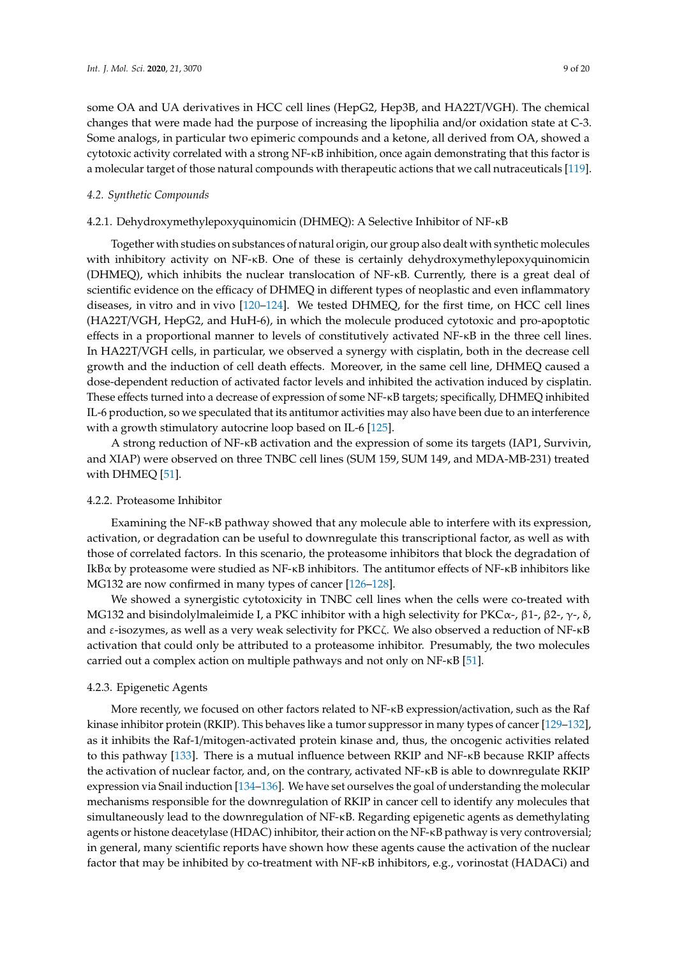some OA and UA derivatives in HCC cell lines (HepG2, Hep3B, and HA22T/VGH). The chemical changes that were made had the purpose of increasing the lipophilia and/or oxidation state at C-3. Some analogs, in particular two epimeric compounds and a ketone, all derived from OA, showed a cytotoxic activity correlated with a strong NF-κB inhibition, once again demonstrating that this factor is a molecular target of those natural compounds with therapeutic actions that we call nutraceuticals [\[119\]](#page-18-0).

### *4.2. Synthetic Compounds*

## 4.2.1. Dehydroxymethylepoxyquinomicin (DHMEQ): A Selective Inhibitor of NF-κB

Together with studies on substances of natural origin, our group also dealt with synthetic molecules with inhibitory activity on NF-κB. One of these is certainly dehydroxymethylepoxyquinomicin (DHMEQ), which inhibits the nuclear translocation of NF-κB. Currently, there is a great deal of scientific evidence on the efficacy of DHMEQ in different types of neoplastic and even inflammatory diseases, in vitro and in vivo [\[120–](#page-18-1)[124\]](#page-18-2). We tested DHMEQ, for the first time, on HCC cell lines (HA22T/VGH, HepG2, and HuH-6), in which the molecule produced cytotoxic and pro-apoptotic effects in a proportional manner to levels of constitutively activated NF-κB in the three cell lines. In HA22T/VGH cells, in particular, we observed a synergy with cisplatin, both in the decrease cell growth and the induction of cell death effects. Moreover, in the same cell line, DHMEQ caused a dose-dependent reduction of activated factor levels and inhibited the activation induced by cisplatin. These effects turned into a decrease of expression of some NF-κB targets; specifically, DHMEQ inhibited IL-6 production, so we speculated that its antitumor activities may also have been due to an interference with a growth stimulatory autocrine loop based on IL-6 [\[125\]](#page-18-3).

A strong reduction of NF-κB activation and the expression of some its targets (IAP1, Survivin, and XIAP) were observed on three TNBC cell lines (SUM 159, SUM 149, and MDA-MB-231) treated with DHMEQ [\[51\]](#page-14-12).

### 4.2.2. Proteasome Inhibitor

Examining the NF-κB pathway showed that any molecule able to interfere with its expression, activation, or degradation can be useful to downregulate this transcriptional factor, as well as with those of correlated factors. In this scenario, the proteasome inhibitors that block the degradation of IkBα by proteasome were studied as NF-κB inhibitors. The antitumor effects of NF-κB inhibitors like MG132 are now confirmed in many types of cancer [\[126](#page-18-4)[–128\]](#page-18-5).

We showed a synergistic cytotoxicity in TNBC cell lines when the cells were co-treated with MG132 and bisindolylmaleimide I, a PKC inhibitor with a high selectivity for PKCα-,  $β1$ -,  $β2$ -,  $γ$ -,  $δ$ , and  $\varepsilon$ -isozymes, as well as a very weak selectivity for PKC $\zeta$ . We also observed a reduction of NF- $\kappa$ B activation that could only be attributed to a proteasome inhibitor. Presumably, the two molecules carried out a complex action on multiple pathways and not only on NF-κB [\[51\]](#page-14-12).

### 4.2.3. Epigenetic Agents

More recently, we focused on other factors related to NF-κB expression/activation, such as the Raf kinase inhibitor protein (RKIP). This behaves like a tumor suppressor in many types of cancer [\[129](#page-18-6)[–132\]](#page-18-7), as it inhibits the Raf-1/mitogen-activated protein kinase and, thus, the oncogenic activities related to this pathway [\[133\]](#page-18-8). There is a mutual influence between RKIP and NF-κB because RKIP affects the activation of nuclear factor, and, on the contrary, activated NF-κB is able to downregulate RKIP expression via Snail induction [\[134–](#page-18-9)[136\]](#page-18-10). We have set ourselves the goal of understanding the molecular mechanisms responsible for the downregulation of RKIP in cancer cell to identify any molecules that simultaneously lead to the downregulation of NF-κB. Regarding epigenetic agents as demethylating agents or histone deacetylase (HDAC) inhibitor, their action on the NF-κB pathway is very controversial; in general, many scientific reports have shown how these agents cause the activation of the nuclear factor that may be inhibited by co-treatment with NF-κB inhibitors, e.g., vorinostat (HADACi) and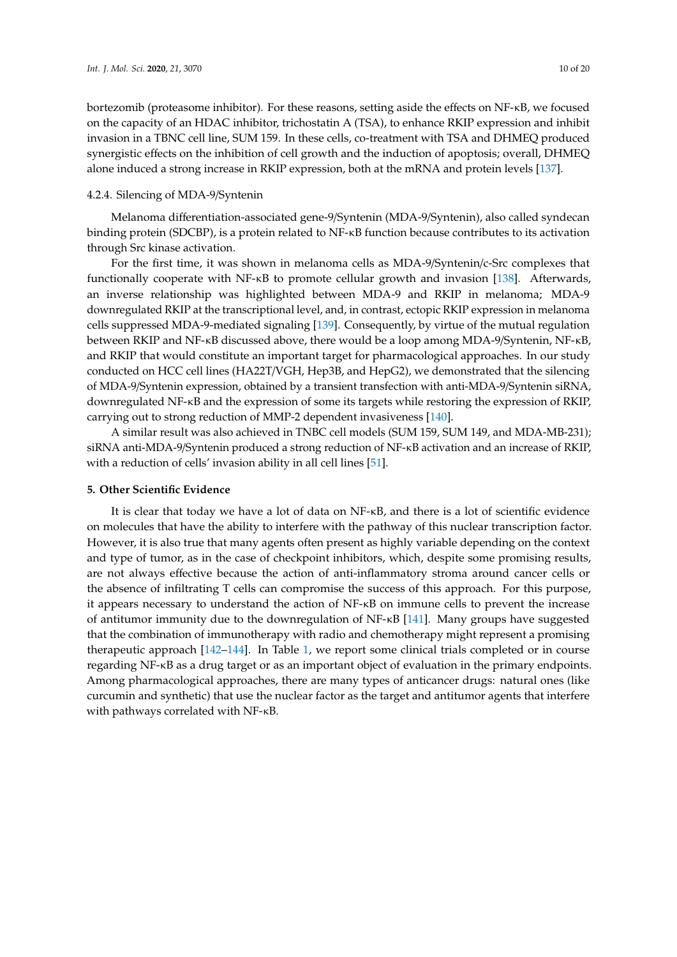bortezomib (proteasome inhibitor). For these reasons, setting aside the effects on NF-κB, we focused on the capacity of an HDAC inhibitor, trichostatin A (TSA), to enhance RKIP expression and inhibit invasion in a TBNC cell line, SUM 159. In these cells, co-treatment with TSA and DHMEQ produced synergistic effects on the inhibition of cell growth and the induction of apoptosis; overall, DHMEQ alone induced a strong increase in RKIP expression, both at the mRNA and protein levels [\[137\]](#page-19-0).

#### 4.2.4. Silencing of MDA-9/Syntenin

Melanoma differentiation-associated gene-9/Syntenin (MDA-9/Syntenin), also called syndecan binding protein (SDCBP), is a protein related to NF-κB function because contributes to its activation through Src kinase activation.

For the first time, it was shown in melanoma cells as MDA-9/Syntenin/c-Src complexes that functionally cooperate with NF-κB to promote cellular growth and invasion [\[138\]](#page-19-1). Afterwards, an inverse relationship was highlighted between MDA-9 and RKIP in melanoma; MDA-9 downregulated RKIP at the transcriptional level, and, in contrast, ectopic RKIP expression in melanoma cells suppressed MDA-9-mediated signaling [\[139\]](#page-19-2). Consequently, by virtue of the mutual regulation between RKIP and NF-κB discussed above, there would be a loop among MDA-9/Syntenin, NF-κB, and RKIP that would constitute an important target for pharmacological approaches. In our study conducted on HCC cell lines (HA22T/VGH, Hep3B, and HepG2), we demonstrated that the silencing of MDA-9/Syntenin expression, obtained by a transient transfection with anti-MDA-9/Syntenin siRNA, downregulated NF-κB and the expression of some its targets while restoring the expression of RKIP, carrying out to strong reduction of MMP-2 dependent invasiveness [\[140\]](#page-19-3).

A similar result was also achieved in TNBC cell models (SUM 159, SUM 149, and MDA-MB-231); siRNA anti-MDA-9/Syntenin produced a strong reduction of NF-κB activation and an increase of RKIP, with a reduction of cells' invasion ability in all cell lines [\[51\]](#page-14-12).

### **5. Other Scientific Evidence**

It is clear that today we have a lot of data on NF-κB, and there is a lot of scientific evidence on molecules that have the ability to interfere with the pathway of this nuclear transcription factor. However, it is also true that many agents often present as highly variable depending on the context and type of tumor, as in the case of checkpoint inhibitors, which, despite some promising results, are not always effective because the action of anti-inflammatory stroma around cancer cells or the absence of infiltrating T cells can compromise the success of this approach. For this purpose, it appears necessary to understand the action of NF-κB on immune cells to prevent the increase of antitumor immunity due to the downregulation of NF-κB [\[141\]](#page-19-4). Many groups have suggested that the combination of immunotherapy with radio and chemotherapy might represent a promising therapeutic approach [\[142–](#page-19-5)[144\]](#page-19-6). In Table [1,](#page-11-0) we report some clinical trials completed or in course regarding NF-κB as a drug target or as an important object of evaluation in the primary endpoints. Among pharmacological approaches, there are many types of anticancer drugs: natural ones (like curcumin and synthetic) that use the nuclear factor as the target and antitumor agents that interfere with pathways correlated with NF-κB.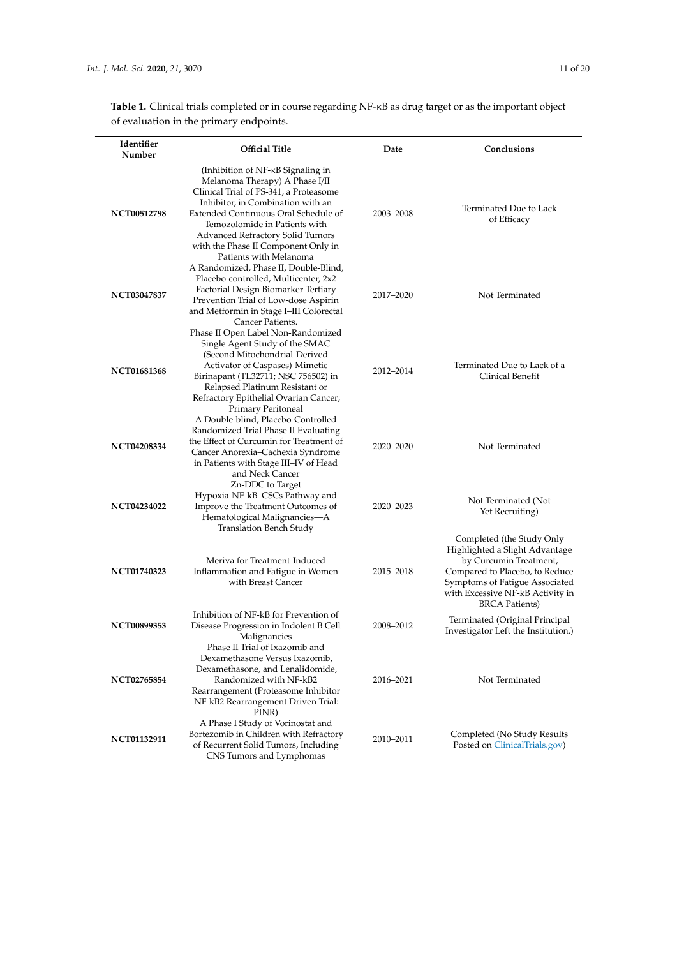**Table 1.** Clinical trials completed or in course regarding NF-κB as drug target or as the important object of evaluation in the primary endpoints.

| Identifier<br>Number | <b>Official Title</b>                                                                                                                                                                                                                                                                                  | Date      | Conclusions                                                                                                                                                                                                             |
|----------------------|--------------------------------------------------------------------------------------------------------------------------------------------------------------------------------------------------------------------------------------------------------------------------------------------------------|-----------|-------------------------------------------------------------------------------------------------------------------------------------------------------------------------------------------------------------------------|
| NCT00512798          | (Inhibition of NF-KB Signaling in<br>Melanoma Therapy) A Phase I/II<br>Clinical Trial of PS-341, a Proteasome<br>Inhibitor, in Combination with an<br>Extended Continuous Oral Schedule of<br>Temozolomide in Patients with<br>Advanced Refractory Solid Tumors<br>with the Phase II Component Only in | 2003-2008 | Terminated Due to Lack<br>of Efficacy                                                                                                                                                                                   |
| NCT03047837          | Patients with Melanoma<br>A Randomized, Phase II, Double-Blind,<br>Placebo-controlled, Multicenter, 2x2<br>Factorial Design Biomarker Tertiary<br>Prevention Trial of Low-dose Aspirin<br>and Metformin in Stage I-III Colorectal<br>Cancer Patients.                                                  | 2017-2020 | Not Terminated                                                                                                                                                                                                          |
| <b>NCT01681368</b>   | Phase II Open Label Non-Randomized<br>Single Agent Study of the SMAC<br>(Second Mitochondrial-Derived<br>Activator of Caspases)-Mimetic<br>Birinapant (TL32711; NSC 756502) in<br>Relapsed Platinum Resistant or<br>Refractory Epithelial Ovarian Cancer;                                              | 2012-2014 | Terminated Due to Lack of a<br>Clinical Benefit                                                                                                                                                                         |
| <b>NCT04208334</b>   | Primary Peritoneal<br>A Double-blind, Placebo-Controlled<br>Randomized Trial Phase II Evaluating<br>the Effect of Curcumin for Treatment of<br>Cancer Anorexia-Cachexia Syndrome<br>in Patients with Stage III–IV of Head<br>and Neck Cancer                                                           | 2020-2020 | Not Terminated                                                                                                                                                                                                          |
| <b>NCT04234022</b>   | Zn-DDC to Target<br>Hypoxia-NF-kB-CSCs Pathway and<br>Improve the Treatment Outcomes of<br>Hematological Malignancies-A<br>Translation Bench Study                                                                                                                                                     | 2020–2023 | Not Terminated (Not<br>Yet Recruiting)                                                                                                                                                                                  |
| <b>NCT01740323</b>   | Meriva for Treatment-Induced<br>Inflammation and Fatigue in Women<br>with Breast Cancer                                                                                                                                                                                                                | 2015–2018 | Completed (the Study Only<br>Highlighted a Slight Advantage<br>by Curcumin Treatment,<br>Compared to Placebo, to Reduce<br>Symptoms of Fatigue Associated<br>with Excessive NF-kB Activity in<br><b>BRCA Patients</b> ) |
| NCT00899353          | Inhibition of NF-kB for Prevention of<br>Disease Progression in Indolent B Cell<br>Malignancies<br>Phase II Trial of Ixazomib and                                                                                                                                                                      | 2008-2012 | Terminated (Original Principal<br>Investigator Left the Institution.)                                                                                                                                                   |
| NCT02765854          | Dexamethasone Versus Ixazomib,<br>Dexamethasone, and Lenalidomide,<br>Randomized with NF-kB2<br>Rearrangement (Proteasome Inhibitor<br>NF-kB2 Rearrangement Driven Trial:<br>PINR)                                                                                                                     | 2016–2021 | Not Terminated                                                                                                                                                                                                          |
| NCT01132911          | A Phase I Study of Vorinostat and<br>Bortezomib in Children with Refractory<br>of Recurrent Solid Tumors, Including<br>CNS Tumors and Lymphomas                                                                                                                                                        | 2010-2011 | Completed (No Study Results<br>Posted on ClinicalTrials.gov)                                                                                                                                                            |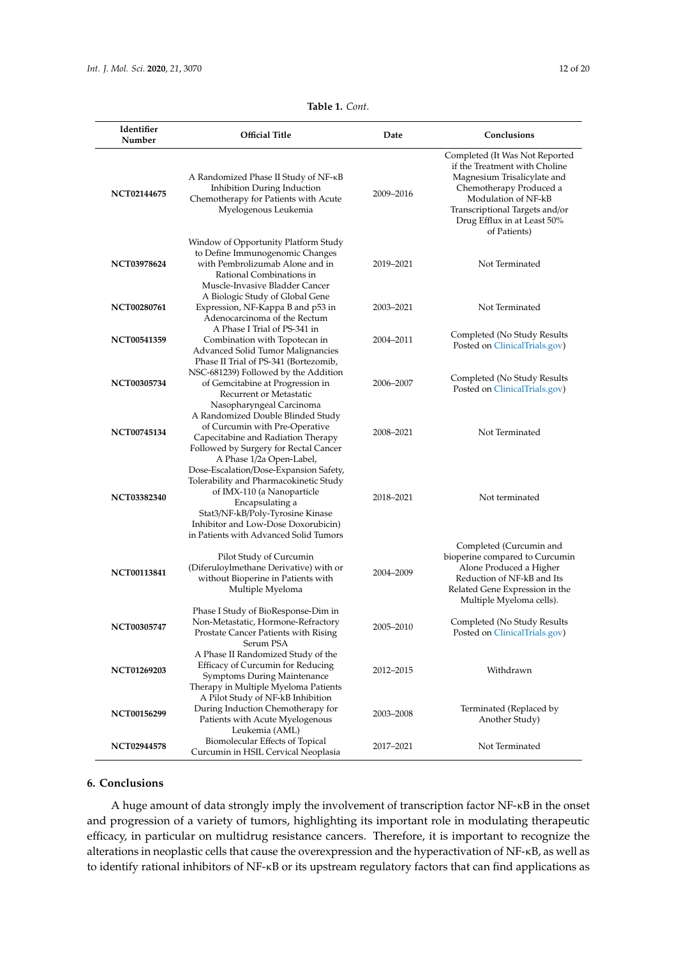<span id="page-11-0"></span>

| Identifier         | <b>Official Title</b>                                                                                                                                                                                                                                                              | Date      | Conclusions                                                                                                                                                                                                                       |
|--------------------|------------------------------------------------------------------------------------------------------------------------------------------------------------------------------------------------------------------------------------------------------------------------------------|-----------|-----------------------------------------------------------------------------------------------------------------------------------------------------------------------------------------------------------------------------------|
| Number             |                                                                                                                                                                                                                                                                                    |           |                                                                                                                                                                                                                                   |
| NCT02144675        | A Randomized Phase II Study of NF- $\kappa$ B<br>Inhibition During Induction<br>Chemotherapy for Patients with Acute<br>Myelogenous Leukemia                                                                                                                                       | 2009-2016 | Completed (It Was Not Reported<br>if the Treatment with Choline<br>Magnesium Trisalicylate and<br>Chemotherapy Produced a<br>Modulation of NF-kB<br>Transcriptional Targets and/or<br>Drug Efflux in at Least 50%<br>of Patients) |
| <b>NCT03978624</b> | Window of Opportunity Platform Study<br>to Define Immunogenomic Changes<br>with Pembrolizumab Alone and in<br>Rational Combinations in<br>Muscle-Invasive Bladder Cancer                                                                                                           | 2019–2021 | Not Terminated                                                                                                                                                                                                                    |
| NCT00280761        | A Biologic Study of Global Gene<br>Expression, NF-Kappa B and p53 in<br>Adenocarcinoma of the Rectum                                                                                                                                                                               | 2003-2021 | Not Terminated                                                                                                                                                                                                                    |
| NCT00541359        | A Phase I Trial of PS-341 in<br>Combination with Topotecan in<br><b>Advanced Solid Tumor Malignancies</b>                                                                                                                                                                          | 2004-2011 | Completed (No Study Results<br>Posted on ClinicalTrials.gov)                                                                                                                                                                      |
| <b>NCT00305734</b> | Phase II Trial of PS-341 (Bortezomib,<br>NSC-681239) Followed by the Addition<br>of Gemcitabine at Progression in<br>Recurrent or Metastatic                                                                                                                                       | 2006-2007 | Completed (No Study Results<br>Posted on ClinicalTrials.gov)                                                                                                                                                                      |
| <b>NCT00745134</b> | Nasopharyngeal Carcinoma<br>A Randomized Double Blinded Study<br>of Curcumin with Pre-Operative<br>Capecitabine and Radiation Therapy<br>Followed by Surgery for Rectal Cancer                                                                                                     | 2008-2021 | Not Terminated                                                                                                                                                                                                                    |
| <b>NCT03382340</b> | A Phase 1/2a Open-Label,<br>Dose-Escalation/Dose-Expansion Safety,<br>Tolerability and Pharmacokinetic Study<br>of IMX-110 (a Nanoparticle<br>Encapsulating a<br>Stat3/NF-kB/Poly-Tyrosine Kinase<br>Inhibitor and Low-Dose Doxorubicin)<br>in Patients with Advanced Solid Tumors | 2018-2021 | Not terminated                                                                                                                                                                                                                    |
| <b>NCT00113841</b> | Pilot Study of Curcumin<br>(Diferuloylmethane Derivative) with or<br>without Bioperine in Patients with<br>Multiple Myeloma                                                                                                                                                        | 2004-2009 | Completed (Curcumin and<br>bioperine compared to Curcumin<br>Alone Produced a Higher<br>Reduction of NF-kB and Its<br>Related Gene Expression in the<br>Multiple Myeloma cells).                                                  |
| NCT00305747        | Phase I Study of BioResponse-Dim in<br>Non-Metastatic, Hormone-Refractory<br>Prostate Cancer Patients with Rising<br>Serum PSA                                                                                                                                                     | 2005-2010 | Completed (No Study Results<br>Posted on ClinicalTrials.gov)                                                                                                                                                                      |
| NCT01269203        | A Phase II Randomized Study of the<br>Efficacy of Curcumin for Reducing<br><b>Symptoms During Maintenance</b><br>Therapy in Multiple Myeloma Patients                                                                                                                              | 2012-2015 | Withdrawn                                                                                                                                                                                                                         |
| NCT00156299        | A Pilot Study of NF-kB Inhibition<br>During Induction Chemotherapy for<br>Patients with Acute Myelogenous                                                                                                                                                                          | 2003-2008 | Terminated (Replaced by<br>Another Study)                                                                                                                                                                                         |
| NCT02944578        | Leukemia (AML)<br>Biomolecular Effects of Topical<br>Curcumin in HSIL Cervical Neoplasia                                                                                                                                                                                           | 2017-2021 | Not Terminated                                                                                                                                                                                                                    |

## **Table 1.** *Cont.*

## **6. Conclusions**

A huge amount of data strongly imply the involvement of transcription factor NF-κB in the onset and progression of a variety of tumors, highlighting its important role in modulating therapeutic efficacy, in particular on multidrug resistance cancers. Therefore, it is important to recognize the alterations in neoplastic cells that cause the overexpression and the hyperactivation of NF-κB, as well as to identify rational inhibitors of NF-κB or its upstream regulatory factors that can find applications as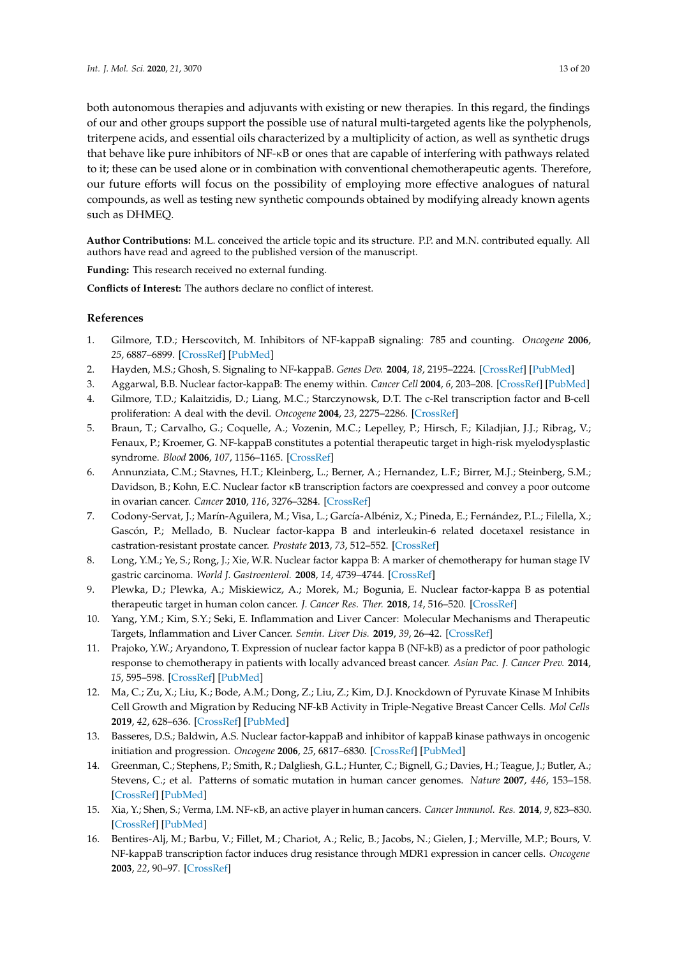both autonomous therapies and adjuvants with existing or new therapies. In this regard, the findings of our and other groups support the possible use of natural multi-targeted agents like the polyphenols, triterpene acids, and essential oils characterized by a multiplicity of action, as well as synthetic drugs that behave like pure inhibitors of NF-κB or ones that are capable of interfering with pathways related to it; these can be used alone or in combination with conventional chemotherapeutic agents. Therefore, our future efforts will focus on the possibility of employing more effective analogues of natural compounds, as well as testing new synthetic compounds obtained by modifying already known agents such as DHMEQ.

**Author Contributions:** M.L. conceived the article topic and its structure. P.P. and M.N. contributed equally. All authors have read and agreed to the published version of the manuscript.

**Funding:** This research received no external funding.

**Conflicts of Interest:** The authors declare no conflict of interest.

# **References**

- <span id="page-12-0"></span>1. Gilmore, T.D.; Herscovitch, M. Inhibitors of NF-kappaB signaling: 785 and counting. *Oncogene* **2006**, *25*, 6887–6899. [\[CrossRef\]](http://dx.doi.org/10.1038/sj.onc.1209982) [\[PubMed\]](http://www.ncbi.nlm.nih.gov/pubmed/17072334)
- <span id="page-12-1"></span>2. Hayden, M.S.; Ghosh, S. Signaling to NF-kappaB. *Genes Dev.* **2004**, *18*, 2195–2224. [\[CrossRef\]](http://dx.doi.org/10.1101/gad.1228704) [\[PubMed\]](http://www.ncbi.nlm.nih.gov/pubmed/15371334)
- <span id="page-12-2"></span>3. Aggarwal, B.B. Nuclear factor-kappaB: The enemy within. *Cancer Cell* **2004**, *6*, 203–208. [\[CrossRef\]](http://dx.doi.org/10.1016/j.ccr.2004.09.003) [\[PubMed\]](http://www.ncbi.nlm.nih.gov/pubmed/15380510)
- <span id="page-12-3"></span>4. Gilmore, T.D.; Kalaitzidis, D.; Liang, M.C.; Starczynowsk, D.T. The c-Rel transcription factor and B-cell proliferation: A deal with the devil. *Oncogene* **2004**, *23*, 2275–2286. [\[CrossRef\]](http://dx.doi.org/10.1038/sj.onc.1207410)
- <span id="page-12-4"></span>5. Braun, T.; Carvalho, G.; Coquelle, A.; Vozenin, M.C.; Lepelley, P.; Hirsch, F.; Kiladjian, J.J.; Ribrag, V.; Fenaux, P.; Kroemer, G. NF-kappaB constitutes a potential therapeutic target in high-risk myelodysplastic syndrome. *Blood* **2006**, *107*, 1156–1165. [\[CrossRef\]](http://dx.doi.org/10.1182/blood-2005-05-1989)
- <span id="page-12-5"></span>6. Annunziata, C.M.; Stavnes, H.T.; Kleinberg, L.; Berner, A.; Hernandez, L.F.; Birrer, M.J.; Steinberg, S.M.; Davidson, B.; Kohn, E.C. Nuclear factor κB transcription factors are coexpressed and convey a poor outcome in ovarian cancer. *Cancer* **2010**, *116*, 3276–3284. [\[CrossRef\]](http://dx.doi.org/10.1002/cncr.25190)
- <span id="page-12-6"></span>7. Codony-Servat, J.; Marín-Aguilera, M.; Visa, L.; García-Albéniz, X.; Pineda, E.; Fernández, P.L.; Filella, X.; Gascón, P.; Mellado, B. Nuclear factor-kappa B and interleukin-6 related docetaxel resistance in castration-resistant prostate cancer. *Prostate* **2013**, *73*, 512–552. [\[CrossRef\]](http://dx.doi.org/10.1002/pros.22591)
- <span id="page-12-7"></span>8. Long, Y.M.; Ye, S.; Rong, J.; Xie, W.R. Nuclear factor kappa B: A marker of chemotherapy for human stage IV gastric carcinoma. *World J. Gastroenterol.* **2008**, *14*, 4739–4744. [\[CrossRef\]](http://dx.doi.org/10.3748/wjg.14.4739)
- <span id="page-12-8"></span>9. Plewka, D.; Plewka, A.; Miskiewicz, A.; Morek, M.; Bogunia, E. Nuclear factor-kappa B as potential therapeutic target in human colon cancer. *J. Cancer Res. Ther.* **2018**, *14*, 516–520. [\[CrossRef\]](http://dx.doi.org/10.4103/0973-1482.180607)
- <span id="page-12-9"></span>10. Yang, Y.M.; Kim, S.Y.; Seki, E. Inflammation and Liver Cancer: Molecular Mechanisms and Therapeutic Targets, Inflammation and Liver Cancer. *Semin. Liver Dis.* **2019**, *39*, 26–42. [\[CrossRef\]](http://dx.doi.org/10.1055/s-0038-1676806)
- <span id="page-12-10"></span>11. Prajoko, Y.W.; Aryandono, T. Expression of nuclear factor kappa B (NF-kB) as a predictor of poor pathologic response to chemotherapy in patients with locally advanced breast cancer. *Asian Pac. J. Cancer Prev.* **2014**, *15*, 595–598. [\[CrossRef\]](http://dx.doi.org/10.7314/APJCP.2014.15.2.595) [\[PubMed\]](http://www.ncbi.nlm.nih.gov/pubmed/24568463)
- <span id="page-12-11"></span>12. Ma, C.; Zu, X.; Liu, K.; Bode, A.M.; Dong, Z.; Liu, Z.; Kim, D.J. Knockdown of Pyruvate Kinase M Inhibits Cell Growth and Migration by Reducing NF-kB Activity in Triple-Negative Breast Cancer Cells. *Mol Cells* **2019**, *42*, 628–636. [\[CrossRef\]](http://dx.doi.org/10.14348/molcells.2019.0038) [\[PubMed\]](http://www.ncbi.nlm.nih.gov/pubmed/31564074)
- <span id="page-12-12"></span>13. Basseres, D.S.; Baldwin, A.S. Nuclear factor-kappaB and inhibitor of kappaB kinase pathways in oncogenic initiation and progression. *Oncogene* **2006**, *25*, 6817–6830. [\[CrossRef\]](http://dx.doi.org/10.1038/sj.onc.1209942) [\[PubMed\]](http://www.ncbi.nlm.nih.gov/pubmed/17072330)
- 14. Greenman, C.; Stephens, P.; Smith, R.; Dalgliesh, G.L.; Hunter, C.; Bignell, G.; Davies, H.; Teague, J.; Butler, A.; Stevens, C.; et al. Patterns of somatic mutation in human cancer genomes. *Nature* **2007**, *446*, 153–158. [\[CrossRef\]](http://dx.doi.org/10.1038/nature05610) [\[PubMed\]](http://www.ncbi.nlm.nih.gov/pubmed/17344846)
- <span id="page-12-13"></span>15. Xia, Y.; Shen, S.; Verma, I.M. NF-κB, an active player in human cancers. *Cancer Immunol. Res.* **2014**, *9*, 823–830. [\[CrossRef\]](http://dx.doi.org/10.1158/2326-6066.CIR-14-0112) [\[PubMed\]](http://www.ncbi.nlm.nih.gov/pubmed/25187272)
- <span id="page-12-14"></span>16. Bentires-Alj, M.; Barbu, V.; Fillet, M.; Chariot, A.; Relic, B.; Jacobs, N.; Gielen, J.; Merville, M.P.; Bours, V. NF-kappaB transcription factor induces drug resistance through MDR1 expression in cancer cells. *Oncogene* **2003**, *22*, 90–97. [\[CrossRef\]](http://dx.doi.org/10.1038/sj.onc.1206056)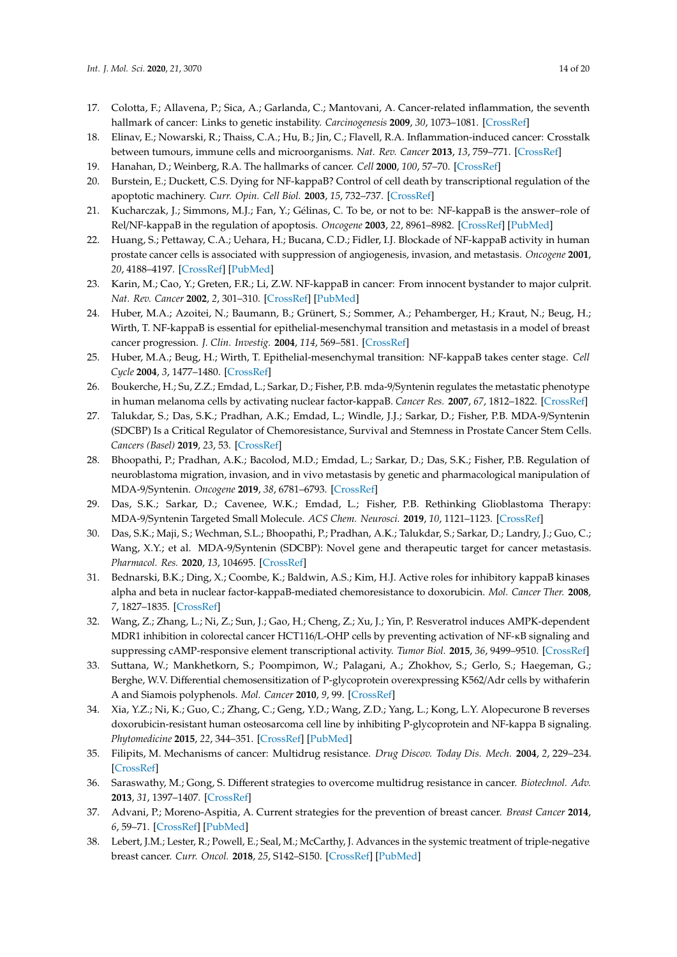- <span id="page-13-0"></span>17. Colotta, F.; Allavena, P.; Sica, A.; Garlanda, C.; Mantovani, A. Cancer-related inflammation, the seventh hallmark of cancer: Links to genetic instability. *Carcinogenesis* **2009**, *30*, 1073–1081. [\[CrossRef\]](http://dx.doi.org/10.1093/carcin/bgp127)
- <span id="page-13-1"></span>18. Elinav, E.; Nowarski, R.; Thaiss, C.A.; Hu, B.; Jin, C.; Flavell, R.A. Inflammation-induced cancer: Crosstalk between tumours, immune cells and microorganisms. *Nat. Rev. Cancer* **2013**, *13*, 759–771. [\[CrossRef\]](http://dx.doi.org/10.1038/nrc3611)
- <span id="page-13-2"></span>19. Hanahan, D.; Weinberg, R.A. The hallmarks of cancer. *Cell* **2000**, *100*, 57–70. [\[CrossRef\]](http://dx.doi.org/10.1016/S0092-8674(00)81683-9)
- <span id="page-13-3"></span>20. Burstein, E.; Duckett, C.S. Dying for NF-kappaB? Control of cell death by transcriptional regulation of the apoptotic machinery. *Curr. Opin. Cell Biol.* **2003**, *15*, 732–737. [\[CrossRef\]](http://dx.doi.org/10.1016/j.ceb.2003.10.005)
- <span id="page-13-4"></span>21. Kucharczak, J.; Simmons, M.J.; Fan, Y.; Gélinas, C. To be, or not to be: NF-kappaB is the answer–role of Rel/NF-kappaB in the regulation of apoptosis. *Oncogene* **2003**, *22*, 8961–8982. [\[CrossRef\]](http://dx.doi.org/10.1038/sj.onc.1207230) [\[PubMed\]](http://www.ncbi.nlm.nih.gov/pubmed/14663476)
- <span id="page-13-5"></span>22. Huang, S.; Pettaway, C.A.; Uehara, H.; Bucana, C.D.; Fidler, I.J. Blockade of NF-kappaB activity in human prostate cancer cells is associated with suppression of angiogenesis, invasion, and metastasis. *Oncogene* **2001**, *20*, 4188–4197. [\[CrossRef\]](http://dx.doi.org/10.1038/sj.onc.1204535) [\[PubMed\]](http://www.ncbi.nlm.nih.gov/pubmed/11464285)
- <span id="page-13-6"></span>23. Karin, M.; Cao, Y.; Greten, F.R.; Li, Z.W. NF-kappaB in cancer: From innocent bystander to major culprit. *Nat. Rev. Cancer* **2002**, *2*, 301–310. [\[CrossRef\]](http://dx.doi.org/10.1038/nrc780) [\[PubMed\]](http://www.ncbi.nlm.nih.gov/pubmed/12001991)
- <span id="page-13-7"></span>24. Huber, M.A.; Azoitei, N.; Baumann, B.; Grünert, S.; Sommer, A.; Pehamberger, H.; Kraut, N.; Beug, H.; Wirth, T. NF-kappaB is essential for epithelial-mesenchymal transition and metastasis in a model of breast cancer progression. *J. Clin. Investig.* **2004**, *114*, 569–581. [\[CrossRef\]](http://dx.doi.org/10.1172/JCI200421358)
- <span id="page-13-8"></span>25. Huber, M.A.; Beug, H.; Wirth, T. Epithelial-mesenchymal transition: NF-kappaB takes center stage. *Cell Cycle* **2004**, *3*, 1477–1480. [\[CrossRef\]](http://dx.doi.org/10.4161/cc.3.12.1280)
- <span id="page-13-9"></span>26. Boukerche, H.; Su, Z.Z.; Emdad, L.; Sarkar, D.; Fisher, P.B. mda-9/Syntenin regulates the metastatic phenotype in human melanoma cells by activating nuclear factor-kappaB. *Cancer Res.* **2007**, *67*, 1812–1822. [\[CrossRef\]](http://dx.doi.org/10.1158/0008-5472.CAN-06-3875)
- 27. Talukdar, S.; Das, S.K.; Pradhan, A.K.; Emdad, L.; Windle, J.J.; Sarkar, D.; Fisher, P.B. MDA-9/Syntenin (SDCBP) Is a Critical Regulator of Chemoresistance, Survival and Stemness in Prostate Cancer Stem Cells. *Cancers (Basel)* **2019**, *23*, 53. [\[CrossRef\]](http://dx.doi.org/10.3390/cancers12010053)
- 28. Bhoopathi, P.; Pradhan, A.K.; Bacolod, M.D.; Emdad, L.; Sarkar, D.; Das, S.K.; Fisher, P.B. Regulation of neuroblastoma migration, invasion, and in vivo metastasis by genetic and pharmacological manipulation of MDA-9/Syntenin. *Oncogene* **2019**, *38*, 6781–6793. [\[CrossRef\]](http://dx.doi.org/10.1038/s41388-019-0920-5)
- 29. Das, S.K.; Sarkar, D.; Cavenee, W.K.; Emdad, L.; Fisher, P.B. Rethinking Glioblastoma Therapy: MDA-9/Syntenin Targeted Small Molecule. *ACS Chem. Neurosci.* **2019**, *10*, 1121–1123. [\[CrossRef\]](http://dx.doi.org/10.1021/acschemneuro.9b00016)
- <span id="page-13-10"></span>30. Das, S.K.; Maji, S.; Wechman, S.L.; Bhoopathi, P.; Pradhan, A.K.; Talukdar, S.; Sarkar, D.; Landry, J.; Guo, C.; Wang, X.Y.; et al. MDA-9/Syntenin (SDCBP): Novel gene and therapeutic target for cancer metastasis. *Pharmacol. Res.* **2020**, *13*, 104695. [\[CrossRef\]](http://dx.doi.org/10.1016/j.phrs.2020.104695)
- <span id="page-13-11"></span>31. Bednarski, B.K.; Ding, X.; Coombe, K.; Baldwin, A.S.; Kim, H.J. Active roles for inhibitory kappaB kinases alpha and beta in nuclear factor-kappaB-mediated chemoresistance to doxorubicin. *Mol. Cancer Ther.* **2008**, *7*, 1827–1835. [\[CrossRef\]](http://dx.doi.org/10.1158/1535-7163.MCT-08-0321)
- <span id="page-13-12"></span>32. Wang, Z.; Zhang, L.; Ni, Z.; Sun, J.; Gao, H.; Cheng, Z.; Xu, J.; Yin, P. Resveratrol induces AMPK-dependent MDR1 inhibition in colorectal cancer HCT116/L-OHP cells by preventing activation of NF-κB signaling and suppressing cAMP-responsive element transcriptional activity. *Tumor Biol.* **2015**, *36*, 9499–9510. [\[CrossRef\]](http://dx.doi.org/10.1007/s13277-015-3636-3)
- <span id="page-13-13"></span>33. Suttana, W.; Mankhetkorn, S.; Poompimon, W.; Palagani, A.; Zhokhov, S.; Gerlo, S.; Haegeman, G.; Berghe, W.V. Differential chemosensitization of P-glycoprotein overexpressing K562/Adr cells by withaferin A and Siamois polyphenols. *Mol. Cancer* **2010**, *9*, 99. [\[CrossRef\]](http://dx.doi.org/10.1186/1476-4598-9-99)
- <span id="page-13-14"></span>34. Xia, Y.Z.; Ni, K.; Guo, C.; Zhang, C.; Geng, Y.D.; Wang, Z.D.; Yang, L.; Kong, L.Y. Alopecurone B reverses doxorubicin-resistant human osteosarcoma cell line by inhibiting P-glycoprotein and NF-kappa B signaling. *Phytomedicine* **2015**, *22*, 344–351. [\[CrossRef\]](http://dx.doi.org/10.1016/j.phymed.2014.12.011) [\[PubMed\]](http://www.ncbi.nlm.nih.gov/pubmed/25837271)
- <span id="page-13-15"></span>35. Filipits, M. Mechanisms of cancer: Multidrug resistance. *Drug Discov. Today Dis. Mech.* **2004**, *2*, 229–234. [\[CrossRef\]](http://dx.doi.org/10.1016/j.ddmec.2004.10.001)
- <span id="page-13-16"></span>36. Saraswathy, M.; Gong, S. Different strategies to overcome multidrug resistance in cancer. *Biotechnol. Adv.* **2013**, *31*, 1397–1407. [\[CrossRef\]](http://dx.doi.org/10.1016/j.biotechadv.2013.06.004)
- <span id="page-13-17"></span>37. Advani, P.; Moreno-Aspitia, A. Current strategies for the prevention of breast cancer. *Breast Cancer* **2014**, *6*, 59–71. [\[CrossRef\]](http://dx.doi.org/10.2147/BCTT.S39114) [\[PubMed\]](http://www.ncbi.nlm.nih.gov/pubmed/24833917)
- <span id="page-13-18"></span>38. Lebert, J.M.; Lester, R.; Powell, E.; Seal, M.; McCarthy, J. Advances in the systemic treatment of triple-negative breast cancer. *Curr. Oncol.* **2018**, *25*, S142–S150. [\[CrossRef\]](http://dx.doi.org/10.3747/co.25.3954) [\[PubMed\]](http://www.ncbi.nlm.nih.gov/pubmed/29910657)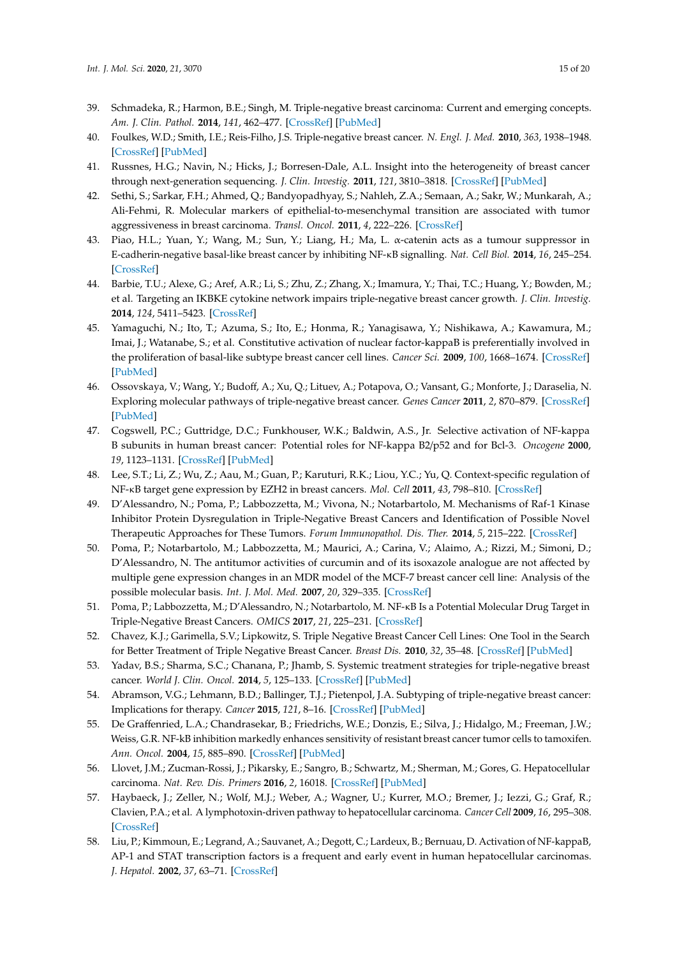- <span id="page-14-0"></span>39. Schmadeka, R.; Harmon, B.E.; Singh, M. Triple-negative breast carcinoma: Current and emerging concepts. *Am. J. Clin. Pathol.* **2014**, *141*, 462–477. [\[CrossRef\]](http://dx.doi.org/10.1309/AJCPQN8GZ8SILKGN) [\[PubMed\]](http://www.ncbi.nlm.nih.gov/pubmed/24619745)
- <span id="page-14-1"></span>40. Foulkes, W.D.; Smith, I.E.; Reis-Filho, J.S. Triple-negative breast cancer. *N. Engl. J. Med.* **2010**, *363*, 1938–1948. [\[CrossRef\]](http://dx.doi.org/10.1056/NEJMra1001389) [\[PubMed\]](http://www.ncbi.nlm.nih.gov/pubmed/21067385)
- <span id="page-14-2"></span>41. Russnes, H.G.; Navin, N.; Hicks, J.; Borresen-Dale, A.L. Insight into the heterogeneity of breast cancer through next-generation sequencing. *J. Clin. Investig.* **2011**, *121*, 3810–3818. [\[CrossRef\]](http://dx.doi.org/10.1172/JCI57088) [\[PubMed\]](http://www.ncbi.nlm.nih.gov/pubmed/21965338)
- <span id="page-14-3"></span>42. Sethi, S.; Sarkar, F.H.; Ahmed, Q.; Bandyopadhyay, S.; Nahleh, Z.A.; Semaan, A.; Sakr, W.; Munkarah, A.; Ali-Fehmi, R. Molecular markers of epithelial-to-mesenchymal transition are associated with tumor aggressiveness in breast carcinoma. *Transl. Oncol.* **2011**, *4*, 222–226. [\[CrossRef\]](http://dx.doi.org/10.1593/tlo.10244)
- <span id="page-14-4"></span>43. Piao, H.L.; Yuan, Y.; Wang, M.; Sun, Y.; Liang, H.; Ma, L. α-catenin acts as a tumour suppressor in E-cadherin-negative basal-like breast cancer by inhibiting NF-κB signalling. *Nat. Cell Biol.* **2014**, *16*, 245–254. [\[CrossRef\]](http://dx.doi.org/10.1038/ncb2909)
- <span id="page-14-5"></span>44. Barbie, T.U.; Alexe, G.; Aref, A.R.; Li, S.; Zhu, Z.; Zhang, X.; Imamura, Y.; Thai, T.C.; Huang, Y.; Bowden, M.; et al. Targeting an IKBKE cytokine network impairs triple-negative breast cancer growth. *J. Clin. Investig.* **2014**, *124*, 5411–5423. [\[CrossRef\]](http://dx.doi.org/10.1172/JCI75661)
- <span id="page-14-6"></span>45. Yamaguchi, N.; Ito, T.; Azuma, S.; Ito, E.; Honma, R.; Yanagisawa, Y.; Nishikawa, A.; Kawamura, M.; Imai, J.; Watanabe, S.; et al. Constitutive activation of nuclear factor-kappaB is preferentially involved in the proliferation of basal-like subtype breast cancer cell lines. *Cancer Sci.* **2009**, *100*, 1668–1674. [\[CrossRef\]](http://dx.doi.org/10.1111/j.1349-7006.2009.01228.x) [\[PubMed\]](http://www.ncbi.nlm.nih.gov/pubmed/19538528)
- <span id="page-14-7"></span>46. Ossovskaya, V.; Wang, Y.; Budoff, A.; Xu, Q.; Lituev, A.; Potapova, O.; Vansant, G.; Monforte, J.; Daraselia, N. Exploring molecular pathways of triple-negative breast cancer. *Genes Cancer* **2011**, *2*, 870–879. [\[CrossRef\]](http://dx.doi.org/10.1177/1947601911432496) [\[PubMed\]](http://www.ncbi.nlm.nih.gov/pubmed/22593799)
- <span id="page-14-8"></span>47. Cogswell, P.C.; Guttridge, D.C.; Funkhouser, W.K.; Baldwin, A.S., Jr. Selective activation of NF-kappa B subunits in human breast cancer: Potential roles for NF-kappa B2/p52 and for Bcl-3. *Oncogene* **2000**, *19*, 1123–1131. [\[CrossRef\]](http://dx.doi.org/10.1038/sj.onc.1203412) [\[PubMed\]](http://www.ncbi.nlm.nih.gov/pubmed/10713699)
- <span id="page-14-9"></span>48. Lee, S.T.; Li, Z.; Wu, Z.; Aau, M.; Guan, P.; Karuturi, R.K.; Liou, Y.C.; Yu, Q. Context-specific regulation of NF-κB target gene expression by EZH2 in breast cancers. *Mol. Cell* **2011**, *43*, 798–810. [\[CrossRef\]](http://dx.doi.org/10.1016/j.molcel.2011.08.011)
- <span id="page-14-10"></span>49. D'Alessandro, N.; Poma, P.; Labbozzetta, M.; Vivona, N.; Notarbartolo, M. Mechanisms of Raf-1 Kinase Inhibitor Protein Dysregulation in Triple-Negative Breast Cancers and Identification of Possible Novel Therapeutic Approaches for These Tumors. *Forum Immunopathol. Dis. Ther.* **2014**, *5*, 215–222. [\[CrossRef\]](http://dx.doi.org/10.1615/ForumImmunDisTher.2015013936)
- <span id="page-14-11"></span>50. Poma, P.; Notarbartolo, M.; Labbozzetta, M.; Maurici, A.; Carina, V.; Alaimo, A.; Rizzi, M.; Simoni, D.; D'Alessandro, N. The antitumor activities of curcumin and of its isoxazole analogue are not affected by multiple gene expression changes in an MDR model of the MCF-7 breast cancer cell line: Analysis of the possible molecular basis. *Int. J. Mol. Med.* **2007**, *20*, 329–335. [\[CrossRef\]](http://dx.doi.org/10.3892/ijmm.20.3.329)
- <span id="page-14-12"></span>51. Poma, P.; Labbozzetta, M.; D'Alessandro, N.; Notarbartolo, M. NF-κB Is a Potential Molecular Drug Target in Triple-Negative Breast Cancers. *OMICS* **2017**, *21*, 225–231. [\[CrossRef\]](http://dx.doi.org/10.1089/omi.2017.0020)
- <span id="page-14-13"></span>52. Chavez, K.J.; Garimella, S.V.; Lipkowitz, S. Triple Negative Breast Cancer Cell Lines: One Tool in the Search for Better Treatment of Triple Negative Breast Cancer. *Breast Dis.* **2010**, *32*, 35–48. [\[CrossRef\]](http://dx.doi.org/10.3233/BD-2010-0307) [\[PubMed\]](http://www.ncbi.nlm.nih.gov/pubmed/21778573)
- <span id="page-14-14"></span>53. Yadav, B.S.; Sharma, S.C.; Chanana, P.; Jhamb, S. Systemic treatment strategies for triple-negative breast cancer. *World J. Clin. Oncol.* **2014**, *5*, 125–133. [\[CrossRef\]](http://dx.doi.org/10.5306/wjco.v5.i2.125) [\[PubMed\]](http://www.ncbi.nlm.nih.gov/pubmed/24829859)
- <span id="page-14-15"></span>54. Abramson, V.G.; Lehmann, B.D.; Ballinger, T.J.; Pietenpol, J.A. Subtyping of triple-negative breast cancer: Implications for therapy. *Cancer* **2015**, *121*, 8–16. [\[CrossRef\]](http://dx.doi.org/10.1002/cncr.28914) [\[PubMed\]](http://www.ncbi.nlm.nih.gov/pubmed/25043972)
- <span id="page-14-16"></span>55. De Graffenried, L.A.; Chandrasekar, B.; Friedrichs, W.E.; Donzis, E.; Silva, J.; Hidalgo, M.; Freeman, J.W.; Weiss, G.R. NF-kB inhibition markedly enhances sensitivity of resistant breast cancer tumor cells to tamoxifen. *Ann. Oncol.* **2004**, *15*, 885–890. [\[CrossRef\]](http://dx.doi.org/10.1093/annonc/mdh232) [\[PubMed\]](http://www.ncbi.nlm.nih.gov/pubmed/15151944)
- <span id="page-14-17"></span>56. Llovet, J.M.; Zucman-Rossi, J.; Pikarsky, E.; Sangro, B.; Schwartz, M.; Sherman, M.; Gores, G. Hepatocellular carcinoma. *Nat. Rev. Dis. Primers* **2016**, *2*, 16018. [\[CrossRef\]](http://dx.doi.org/10.1038/nrdp.2016.18) [\[PubMed\]](http://www.ncbi.nlm.nih.gov/pubmed/27158749)
- <span id="page-14-18"></span>57. Haybaeck, J.; Zeller, N.; Wolf, M.J.; Weber, A.; Wagner, U.; Kurrer, M.O.; Bremer, J.; Iezzi, G.; Graf, R.; Clavien, P.A.; et al. A lymphotoxin-driven pathway to hepatocellular carcinoma. *Cancer Cell* **2009**, *16*, 295–308. [\[CrossRef\]](http://dx.doi.org/10.1016/j.ccr.2009.08.021)
- <span id="page-14-19"></span>58. Liu, P.; Kimmoun, E.; Legrand, A.; Sauvanet, A.; Degott, C.; Lardeux, B.; Bernuau, D. Activation of NF-kappaB, AP-1 and STAT transcription factors is a frequent and early event in human hepatocellular carcinomas. *J. Hepatol.* **2002**, *37*, 63–71. [\[CrossRef\]](http://dx.doi.org/10.1016/S0168-8278(02)00064-8)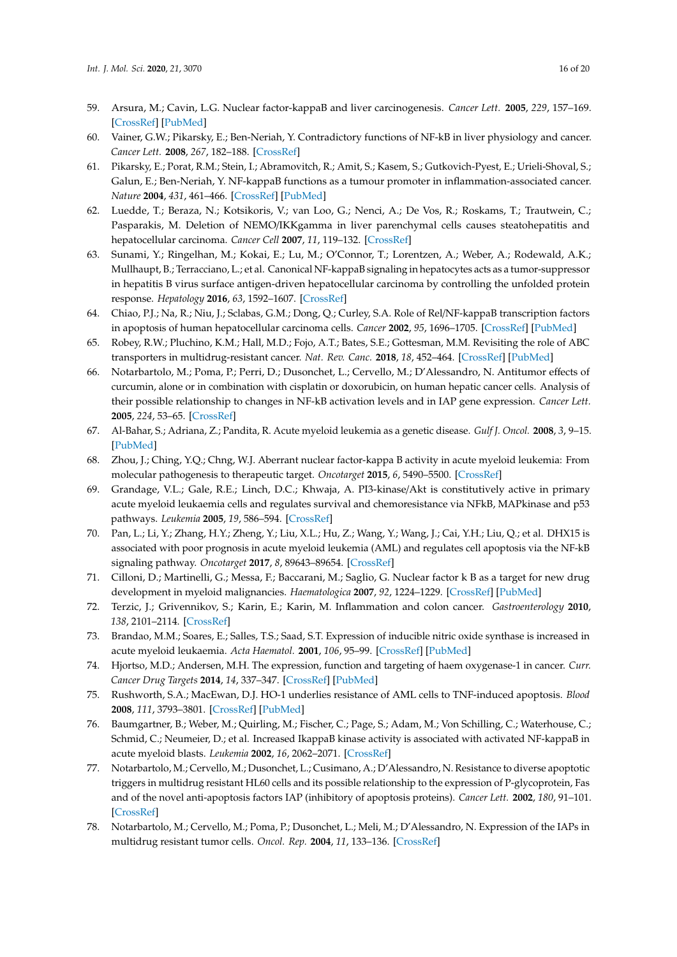- <span id="page-15-0"></span>59. Arsura, M.; Cavin, L.G. Nuclear factor-kappaB and liver carcinogenesis. *Cancer Lett.* **2005**, *229*, 157–169. [\[CrossRef\]](http://dx.doi.org/10.1016/j.canlet.2005.07.008) [\[PubMed\]](http://www.ncbi.nlm.nih.gov/pubmed/16125305)
- <span id="page-15-1"></span>60. Vainer, G.W.; Pikarsky, E.; Ben-Neriah, Y. Contradictory functions of NF-kB in liver physiology and cancer. *Cancer Lett.* **2008**, *267*, 182–188. [\[CrossRef\]](http://dx.doi.org/10.1016/j.canlet.2008.03.016)
- <span id="page-15-2"></span>61. Pikarsky, E.; Porat, R.M.; Stein, I.; Abramovitch, R.; Amit, S.; Kasem, S.; Gutkovich-Pyest, E.; Urieli-Shoval, S.; Galun, E.; Ben-Neriah, Y. NF-kappaB functions as a tumour promoter in inflammation-associated cancer. *Nature* **2004**, *431*, 461–466. [\[CrossRef\]](http://dx.doi.org/10.1038/nature02924) [\[PubMed\]](http://www.ncbi.nlm.nih.gov/pubmed/15329734)
- <span id="page-15-3"></span>62. Luedde, T.; Beraza, N.; Kotsikoris, V.; van Loo, G.; Nenci, A.; De Vos, R.; Roskams, T.; Trautwein, C.; Pasparakis, M. Deletion of NEMO/IKKgamma in liver parenchymal cells causes steatohepatitis and hepatocellular carcinoma. *Cancer Cell* **2007**, *11*, 119–132. [\[CrossRef\]](http://dx.doi.org/10.1016/j.ccr.2006.12.016)
- <span id="page-15-4"></span>63. Sunami, Y.; Ringelhan, M.; Kokai, E.; Lu, M.; O'Connor, T.; Lorentzen, A.; Weber, A.; Rodewald, A.K.; Mullhaupt, B.; Terracciano, L.; et al. Canonical NF-kappaB signaling in hepatocytes acts as a tumor-suppressor in hepatitis B virus surface antigen-driven hepatocellular carcinoma by controlling the unfolded protein response. *Hepatology* **2016**, *63*, 1592–1607. [\[CrossRef\]](http://dx.doi.org/10.1002/hep.28435)
- <span id="page-15-5"></span>64. Chiao, P.J.; Na, R.; Niu, J.; Sclabas, G.M.; Dong, Q.; Curley, S.A. Role of Rel/NF-kappaB transcription factors in apoptosis of human hepatocellular carcinoma cells. *Cancer* **2002**, *95*, 1696–1705. [\[CrossRef\]](http://dx.doi.org/10.1002/cncr.10829) [\[PubMed\]](http://www.ncbi.nlm.nih.gov/pubmed/12365017)
- <span id="page-15-6"></span>65. Robey, R.W.; Pluchino, K.M.; Hall, M.D.; Fojo, A.T.; Bates, S.E.; Gottesman, M.M. Revisiting the role of ABC transporters in multidrug-resistant cancer. *Nat. Rev. Canc.* **2018**, *18*, 452–464. [\[CrossRef\]](http://dx.doi.org/10.1038/s41568-018-0005-8) [\[PubMed\]](http://www.ncbi.nlm.nih.gov/pubmed/29643473)
- <span id="page-15-7"></span>66. Notarbartolo, M.; Poma, P.; Perri, D.; Dusonchet, L.; Cervello, M.; D'Alessandro, N. Antitumor effects of curcumin, alone or in combination with cisplatin or doxorubicin, on human hepatic cancer cells. Analysis of their possible relationship to changes in NF-kB activation levels and in IAP gene expression. *Cancer Lett.* **2005**, *224*, 53–65. [\[CrossRef\]](http://dx.doi.org/10.1016/j.canlet.2004.10.051)
- <span id="page-15-8"></span>67. Al-Bahar, S.; Adriana, Z.; Pandita, R. Acute myeloid leukemia as a genetic disease. *Gulf J. Oncol.* **2008**, *3*, 9–15. [\[PubMed\]](http://www.ncbi.nlm.nih.gov/pubmed/20084792)
- <span id="page-15-9"></span>68. Zhou, J.; Ching, Y.Q.; Chng, W.J. Aberrant nuclear factor-kappa B activity in acute myeloid leukemia: From molecular pathogenesis to therapeutic target. *Oncotarget* **2015**, *6*, 5490–5500. [\[CrossRef\]](http://dx.doi.org/10.18632/oncotarget.3545)
- <span id="page-15-10"></span>69. Grandage, V.L.; Gale, R.E.; Linch, D.C.; Khwaja, A. PI3-kinase/Akt is constitutively active in primary acute myeloid leukaemia cells and regulates survival and chemoresistance via NFkB, MAPkinase and p53 pathways. *Leukemia* **2005**, *19*, 586–594. [\[CrossRef\]](http://dx.doi.org/10.1038/sj.leu.2403653)
- 70. Pan, L.; Li, Y.; Zhang, H.Y.; Zheng, Y.; Liu, X.L.; Hu, Z.; Wang, Y.; Wang, J.; Cai, Y.H.; Liu, Q.; et al. DHX15 is associated with poor prognosis in acute myeloid leukemia (AML) and regulates cell apoptosis via the NF-kB signaling pathway. *Oncotarget* **2017**, *8*, 89643–89654. [\[CrossRef\]](http://dx.doi.org/10.18632/oncotarget.20288)
- <span id="page-15-11"></span>71. Cilloni, D.; Martinelli, G.; Messa, F.; Baccarani, M.; Saglio, G. Nuclear factor k B as a target for new drug development in myeloid malignancies. *Haematologica* **2007**, *92*, 1224–1229. [\[CrossRef\]](http://dx.doi.org/10.3324/haematol.11199) [\[PubMed\]](http://www.ncbi.nlm.nih.gov/pubmed/17666366)
- <span id="page-15-12"></span>72. Terzic, J.; Grivennikov, S.; Karin, E.; Karin, M. Inflammation and colon cancer. *Gastroenterology* **2010**, *138*, 2101–2114. [\[CrossRef\]](http://dx.doi.org/10.1053/j.gastro.2010.01.058)
- <span id="page-15-13"></span>73. Brandao, M.M.; Soares, E.; Salles, T.S.; Saad, S.T. Expression of inducible nitric oxide synthase is increased in acute myeloid leukaemia. *Acta Haematol.* **2001**, *106*, 95–99. [\[CrossRef\]](http://dx.doi.org/10.1159/000046596) [\[PubMed\]](http://www.ncbi.nlm.nih.gov/pubmed/11713373)
- <span id="page-15-14"></span>74. Hjortso, M.D.; Andersen, M.H. The expression, function and targeting of haem oxygenase-1 in cancer. *Curr. Cancer Drug Targets* **2014**, *14*, 337–347. [\[CrossRef\]](http://dx.doi.org/10.2174/1568009614666140320111306) [\[PubMed\]](http://www.ncbi.nlm.nih.gov/pubmed/24655000)
- <span id="page-15-15"></span>75. Rushworth, S.A.; MacEwan, D.J. HO-1 underlies resistance of AML cells to TNF-induced apoptosis. *Blood* **2008**, *111*, 3793–3801. [\[CrossRef\]](http://dx.doi.org/10.1182/blood-2007-07-104042) [\[PubMed\]](http://www.ncbi.nlm.nih.gov/pubmed/18202225)
- <span id="page-15-16"></span>76. Baumgartner, B.; Weber, M.; Quirling, M.; Fischer, C.; Page, S.; Adam, M.; Von Schilling, C.; Waterhouse, C.; Schmid, C.; Neumeier, D.; et al. Increased IkappaB kinase activity is associated with activated NF-kappaB in acute myeloid blasts. *Leukemia* **2002**, *16*, 2062–2071. [\[CrossRef\]](http://dx.doi.org/10.1038/sj.leu.2402641)
- <span id="page-15-17"></span>77. Notarbartolo, M.; Cervello, M.; Dusonchet, L.; Cusimano, A.; D'Alessandro, N. Resistance to diverse apoptotic triggers in multidrug resistant HL60 cells and its possible relationship to the expression of P-glycoprotein, Fas and of the novel anti-apoptosis factors IAP (inhibitory of apoptosis proteins). *Cancer Lett.* **2002**, *180*, 91–101. [\[CrossRef\]](http://dx.doi.org/10.1016/S0304-3835(01)00834-5)
- <span id="page-15-18"></span>78. Notarbartolo, M.; Cervello, M.; Poma, P.; Dusonchet, L.; Meli, M.; D'Alessandro, N. Expression of the IAPs in multidrug resistant tumor cells. *Oncol. Rep.* **2004**, *11*, 133–136. [\[CrossRef\]](http://dx.doi.org/10.3892/or.11.1.133)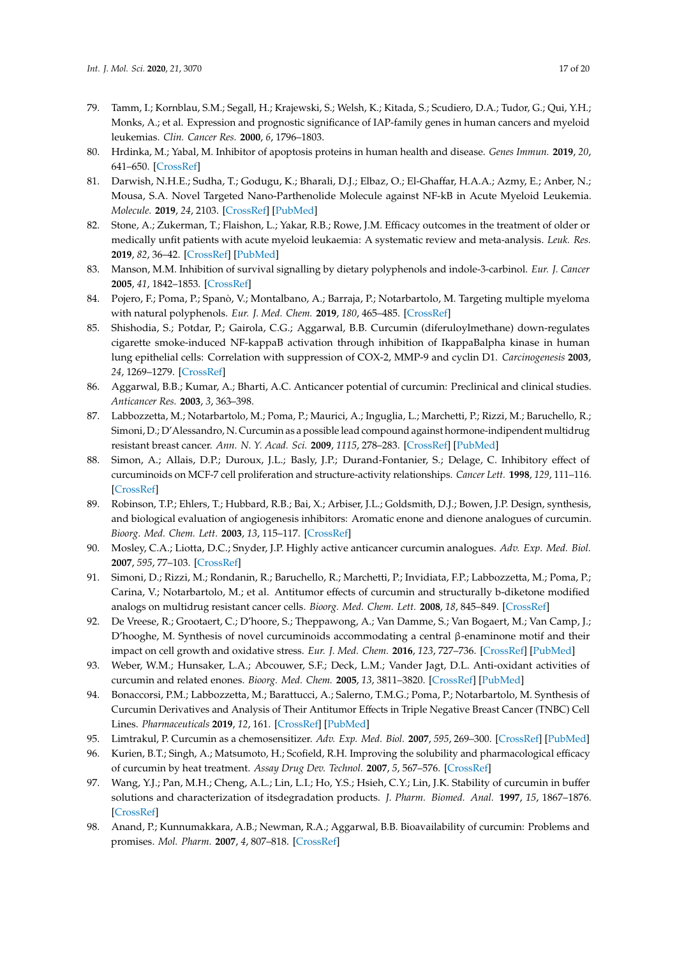- <span id="page-16-0"></span>79. Tamm, I.; Kornblau, S.M.; Segall, H.; Krajewski, S.; Welsh, K.; Kitada, S.; Scudiero, D.A.; Tudor, G.; Qui, Y.H.; Monks, A.; et al. Expression and prognostic significance of IAP-family genes in human cancers and myeloid leukemias. *Clin. Cancer Res.* **2000**, *6*, 1796–1803.
- <span id="page-16-1"></span>80. Hrdinka, M.; Yabal, M. Inhibitor of apoptosis proteins in human health and disease. *Genes Immun.* **2019**, *20*, 641–650. [\[CrossRef\]](http://dx.doi.org/10.1038/s41435-019-0078-8)
- <span id="page-16-2"></span>81. Darwish, N.H.E.; Sudha, T.; Godugu, K.; Bharali, D.J.; Elbaz, O.; El-Ghaffar, H.A.A.; Azmy, E.; Anber, N.; Mousa, S.A. Novel Targeted Nano-Parthenolide Molecule against NF-kB in Acute Myeloid Leukemia. *Molecule.* **2019**, *24*, 2103. [\[CrossRef\]](http://dx.doi.org/10.3390/molecules24112103) [\[PubMed\]](http://www.ncbi.nlm.nih.gov/pubmed/31163672)
- <span id="page-16-3"></span>82. Stone, A.; Zukerman, T.; Flaishon, L.; Yakar, R.B.; Rowe, J.M. Efficacy outcomes in the treatment of older or medically unfit patients with acute myeloid leukaemia: A systematic review and meta-analysis. *Leuk. Res.* **2019**, *82*, 36–42. [\[CrossRef\]](http://dx.doi.org/10.1016/j.leukres.2019.05.007) [\[PubMed\]](http://www.ncbi.nlm.nih.gov/pubmed/31152922)
- <span id="page-16-4"></span>83. Manson, M.M. Inhibition of survival signalling by dietary polyphenols and indole-3-carbinol. *Eur. J. Cancer* **2005**, *41*, 1842–1853. [\[CrossRef\]](http://dx.doi.org/10.1016/j.ejca.2005.05.008)
- <span id="page-16-5"></span>84. Pojero, F.; Poma, P.; Spanò, V.; Montalbano, A.; Barraja, P.; Notarbartolo, M. Targeting multiple myeloma with natural polyphenols. *Eur. J. Med. Chem.* **2019**, *180*, 465–485. [\[CrossRef\]](http://dx.doi.org/10.1016/j.ejmech.2019.07.041)
- <span id="page-16-6"></span>85. Shishodia, S.; Potdar, P.; Gairola, C.G.; Aggarwal, B.B. Curcumin (diferuloylmethane) down-regulates cigarette smoke-induced NF-kappaB activation through inhibition of IkappaBalpha kinase in human lung epithelial cells: Correlation with suppression of COX-2, MMP-9 and cyclin D1. *Carcinogenesis* **2003**, *24*, 1269–1279. [\[CrossRef\]](http://dx.doi.org/10.1093/carcin/bgg078)
- <span id="page-16-7"></span>86. Aggarwal, B.B.; Kumar, A.; Bharti, A.C. Anticancer potential of curcumin: Preclinical and clinical studies. *Anticancer Res.* **2003**, *3*, 363–398.
- <span id="page-16-8"></span>87. Labbozzetta, M.; Notarbartolo, M.; Poma, P.; Maurici, A.; Inguglia, L.; Marchetti, P.; Rizzi, M.; Baruchello, R.; Simoni, D.; D'Alessandro, N. Curcumin as a possible lead compound against hormone-indipendent multidrug resistant breast cancer. *Ann. N. Y. Acad. Sci.* **2009**, *1115*, 278–283. [\[CrossRef\]](http://dx.doi.org/10.1111/j.1749-6632.2009.03699.x) [\[PubMed\]](http://www.ncbi.nlm.nih.gov/pubmed/19250217)
- <span id="page-16-9"></span>88. Simon, A.; Allais, D.P.; Duroux, J.L.; Basly, J.P.; Durand-Fontanier, S.; Delage, C. Inhibitory effect of curcuminoids on MCF-7 cell proliferation and structure-activity relationships. *Cancer Lett.* **1998**, *129*, 111–116. [\[CrossRef\]](http://dx.doi.org/10.1016/S0304-3835(98)00092-5)
- 89. Robinson, T.P.; Ehlers, T.; Hubbard, R.B.; Bai, X.; Arbiser, J.L.; Goldsmith, D.J.; Bowen, J.P. Design, synthesis, and biological evaluation of angiogenesis inhibitors: Aromatic enone and dienone analogues of curcumin. *Bioorg. Med. Chem. Lett.* **2003**, *13*, 115–117. [\[CrossRef\]](http://dx.doi.org/10.1016/S0960-894X(02)00832-6)
- <span id="page-16-10"></span>90. Mosley, C.A.; Liotta, D.C.; Snyder, J.P. Highly active anticancer curcumin analogues. *Adv. Exp. Med. Biol.* **2007**, *595*, 77–103. [\[CrossRef\]](http://dx.doi.org/10.1007/978-0-387-46401-5_2)
- <span id="page-16-11"></span>91. Simoni, D.; Rizzi, M.; Rondanin, R.; Baruchello, R.; Marchetti, P.; Invidiata, F.P.; Labbozzetta, M.; Poma, P.; Carina, V.; Notarbartolo, M.; et al. Antitumor effects of curcumin and structurally b-diketone modified analogs on multidrug resistant cancer cells. *Bioorg. Med. Chem. Lett.* **2008**, *18*, 845–849. [\[CrossRef\]](http://dx.doi.org/10.1016/j.bmcl.2007.11.021)
- <span id="page-16-12"></span>92. De Vreese, R.; Grootaert, C.; D'hoore, S.; Theppawong, A.; Van Damme, S.; Van Bogaert, M.; Van Camp, J.; D'hooghe, M. Synthesis of novel curcuminoids accommodating a central β-enaminone motif and their impact on cell growth and oxidative stress. *Eur. J. Med. Chem.* **2016**, *123*, 727–736. [\[CrossRef\]](http://dx.doi.org/10.1016/j.ejmech.2016.07.017) [\[PubMed\]](http://www.ncbi.nlm.nih.gov/pubmed/27521589)
- <span id="page-16-13"></span>93. Weber, W.M.; Hunsaker, L.A.; Abcouwer, S.F.; Deck, L.M.; Vander Jagt, D.L. Anti-oxidant activities of curcumin and related enones. *Bioorg. Med. Chem.* **2005**, *13*, 3811–3820. [\[CrossRef\]](http://dx.doi.org/10.1016/j.bmc.2005.03.035) [\[PubMed\]](http://www.ncbi.nlm.nih.gov/pubmed/15863007)
- <span id="page-16-14"></span>94. Bonaccorsi, P.M.; Labbozzetta, M.; Barattucci, A.; Salerno, T.M.G.; Poma, P.; Notarbartolo, M. Synthesis of Curcumin Derivatives and Analysis of Their Antitumor Effects in Triple Negative Breast Cancer (TNBC) Cell Lines. *Pharmaceuticals* **2019**, *12*, 161. [\[CrossRef\]](http://dx.doi.org/10.3390/ph12040161) [\[PubMed\]](http://www.ncbi.nlm.nih.gov/pubmed/31717764)
- <span id="page-16-15"></span>95. Limtrakul, P. Curcumin as a chemosensitizer. *Adv. Exp. Med. Biol.* **2007**, *595*, 269–300. [\[CrossRef\]](http://dx.doi.org/10.1007/978-0-387-46401-5_12) [\[PubMed\]](http://www.ncbi.nlm.nih.gov/pubmed/17569216)
- <span id="page-16-16"></span>96. Kurien, B.T.; Singh, A.; Matsumoto, H.; Scofield, R.H. Improving the solubility and pharmacological efficacy of curcumin by heat treatment. *Assay Drug Dev. Technol.* **2007**, *5*, 567–576. [\[CrossRef\]](http://dx.doi.org/10.1089/adt.2007.064)
- 97. Wang, Y.J.; Pan, M.H.; Cheng, A.L.; Lin, L.I.; Ho, Y.S.; Hsieh, C.Y.; Lin, J.K. Stability of curcumin in buffer solutions and characterization of itsdegradation products. *J. Pharm. Biomed. Anal.* **1997**, *15*, 1867–1876. [\[CrossRef\]](http://dx.doi.org/10.1016/S0731-7085(96)02024-9)
- <span id="page-16-17"></span>98. Anand, P.; Kunnumakkara, A.B.; Newman, R.A.; Aggarwal, B.B. Bioavailability of curcumin: Problems and promises. *Mol. Pharm.* **2007**, *4*, 807–818. [\[CrossRef\]](http://dx.doi.org/10.1021/mp700113r)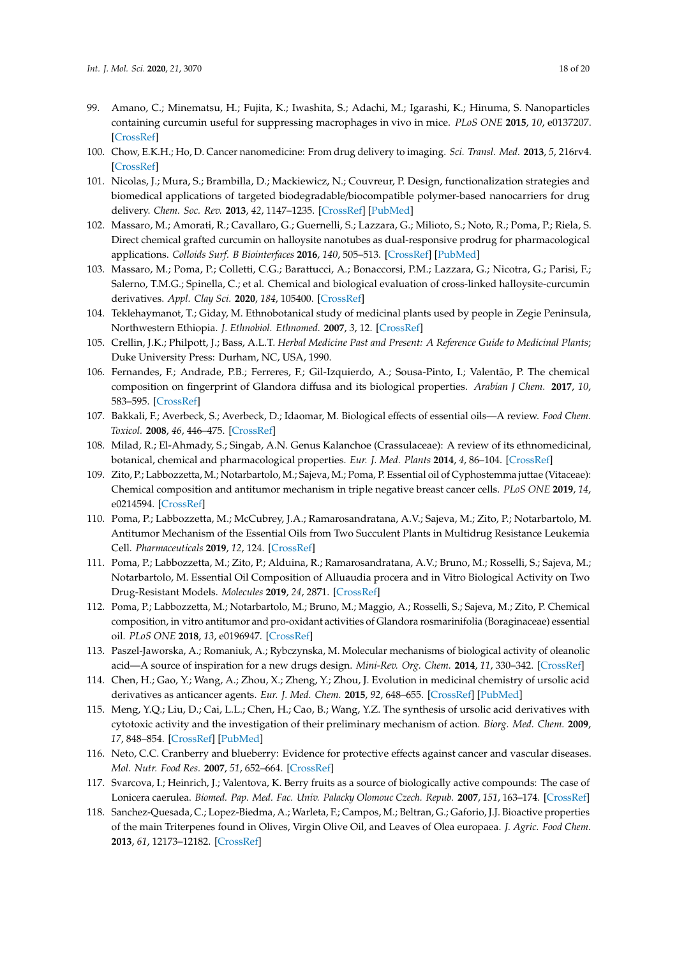- <span id="page-17-0"></span>99. Amano, C.; Minematsu, H.; Fujita, K.; Iwashita, S.; Adachi, M.; Igarashi, K.; Hinuma, S. Nanoparticles containing curcumin useful for suppressing macrophages in vivo in mice. *PLoS ONE* **2015**, *10*, e0137207. [\[CrossRef\]](http://dx.doi.org/10.1371/journal.pone.0137207)
- 100. Chow, E.K.H.; Ho, D. Cancer nanomedicine: From drug delivery to imaging. *Sci. Transl. Med.* **2013**, *5*, 216rv4. [\[CrossRef\]](http://dx.doi.org/10.1126/scitranslmed.3005872)
- <span id="page-17-1"></span>101. Nicolas, J.; Mura, S.; Brambilla, D.; Mackiewicz, N.; Couvreur, P. Design, functionalization strategies and biomedical applications of targeted biodegradable/biocompatible polymer-based nanocarriers for drug delivery. *Chem. Soc. Rev.* **2013**, *42*, 1147–1235. [\[CrossRef\]](http://dx.doi.org/10.1039/C2CS35265F) [\[PubMed\]](http://www.ncbi.nlm.nih.gov/pubmed/23238558)
- <span id="page-17-2"></span>102. Massaro, M.; Amorati, R.; Cavallaro, G.; Guernelli, S.; Lazzara, G.; Milioto, S.; Noto, R.; Poma, P.; Riela, S. Direct chemical grafted curcumin on halloysite nanotubes as dual-responsive prodrug for pharmacological applications. *Colloids Surf. B Biointerfaces* **2016**, *140*, 505–513. [\[CrossRef\]](http://dx.doi.org/10.1016/j.colsurfb.2016.01.025) [\[PubMed\]](http://www.ncbi.nlm.nih.gov/pubmed/26812638)
- <span id="page-17-3"></span>103. Massaro, M.; Poma, P.; Colletti, C.G.; Barattucci, A.; Bonaccorsi, P.M.; Lazzara, G.; Nicotra, G.; Parisi, F.; Salerno, T.M.G.; Spinella, C.; et al. Chemical and biological evaluation of cross-linked halloysite-curcumin derivatives. *Appl. Clay Sci.* **2020**, *184*, 105400. [\[CrossRef\]](http://dx.doi.org/10.1016/j.clay.2019.105400)
- <span id="page-17-4"></span>104. Teklehaymanot, T.; Giday, M. Ethnobotanical study of medicinal plants used by people in Zegie Peninsula, Northwestern Ethiopia. *J. Ethnobiol. Ethnomed.* **2007**, *3*, 12. [\[CrossRef\]](http://dx.doi.org/10.1186/1746-4269-3-12)
- 105. Crellin, J.K.; Philpott, J.; Bass, A.L.T. *Herbal Medicine Past and Present: A Reference Guide to Medicinal Plants*; Duke University Press: Durham, NC, USA, 1990.
- 106. Fernandes, F.; Andrade, P.B.; Ferreres, F.; Gil-Izquierdo, A.; Sousa-Pinto, I.; Valentão, P. The chemical composition on fingerprint of Glandora diffusa and its biological properties. *Arabian J Chem.* **2017**, *10*, 583–595. [\[CrossRef\]](http://dx.doi.org/10.1016/j.arabjc.2015.01.012)
- 107. Bakkali, F.; Averbeck, S.; Averbeck, D.; Idaomar, M. Biological effects of essential oils—A review. *Food Chem. Toxicol.* **2008**, *46*, 446–475. [\[CrossRef\]](http://dx.doi.org/10.1016/j.fct.2007.09.106)
- <span id="page-17-5"></span>108. Milad, R.; El-Ahmady, S.; Singab, A.N. Genus Kalanchoe (Crassulaceae): A review of its ethnomedicinal, botanical, chemical and pharmacological properties. *Eur. J. Med. Plants* **2014**, *4*, 86–104. [\[CrossRef\]](http://dx.doi.org/10.9734/EJMP/2014/5901)
- <span id="page-17-6"></span>109. Zito, P.; Labbozzetta, M.; Notarbartolo, M.; Sajeva, M.; Poma, P. Essential oil of Cyphostemma juttae (Vitaceae): Chemical composition and antitumor mechanism in triple negative breast cancer cells. *PLoS ONE* **2019**, *14*, e0214594. [\[CrossRef\]](http://dx.doi.org/10.1371/journal.pone.0214594)
- <span id="page-17-7"></span>110. Poma, P.; Labbozzetta, M.; McCubrey, J.A.; Ramarosandratana, A.V.; Sajeva, M.; Zito, P.; Notarbartolo, M. Antitumor Mechanism of the Essential Oils from Two Succulent Plants in Multidrug Resistance Leukemia Cell. *Pharmaceuticals* **2019**, *12*, 124. [\[CrossRef\]](http://dx.doi.org/10.3390/ph12030124)
- <span id="page-17-8"></span>111. Poma, P.; Labbozzetta, M.; Zito, P.; Alduina, R.; Ramarosandratana, A.V.; Bruno, M.; Rosselli, S.; Sajeva, M.; Notarbartolo, M. Essential Oil Composition of Alluaudia procera and in Vitro Biological Activity on Two Drug-Resistant Models. *Molecules* **2019**, *24*, 2871. [\[CrossRef\]](http://dx.doi.org/10.3390/molecules24162871)
- <span id="page-17-9"></span>112. Poma, P.; Labbozzetta, M.; Notarbartolo, M.; Bruno, M.; Maggio, A.; Rosselli, S.; Sajeva, M.; Zito, P. Chemical composition, in vitro antitumor and pro-oxidant activities of Glandora rosmarinifolia (Boraginaceae) essential oil. *PLoS ONE* **2018**, *13*, e0196947. [\[CrossRef\]](http://dx.doi.org/10.1371/journal.pone.0196947)
- <span id="page-17-10"></span>113. Paszel-Jaworska, A.; Romaniuk, A.; Rybczynska, M. Molecular mechanisms of biological activity of oleanolic acid—A source of inspiration for a new drugs design. *Mini-Rev. Org. Chem.* **2014**, *11*, 330–342. [\[CrossRef\]](http://dx.doi.org/10.2174/1570193X1103140915111839)
- 114. Chen, H.; Gao, Y.; Wang, A.; Zhou, X.; Zheng, Y.; Zhou, J. Evolution in medicinal chemistry of ursolic acid derivatives as anticancer agents. *Eur. J. Med. Chem.* **2015**, *92*, 648–655. [\[CrossRef\]](http://dx.doi.org/10.1016/j.ejmech.2015.01.031) [\[PubMed\]](http://www.ncbi.nlm.nih.gov/pubmed/25617694)
- <span id="page-17-11"></span>115. Meng, Y.Q.; Liu, D.; Cai, L.L.; Chen, H.; Cao, B.; Wang, Y.Z. The synthesis of ursolic acid derivatives with cytotoxic activity and the investigation of their preliminary mechanism of action. *Biorg. Med. Chem.* **2009**, *17*, 848–854. [\[CrossRef\]](http://dx.doi.org/10.1016/j.bmc.2008.11.036) [\[PubMed\]](http://www.ncbi.nlm.nih.gov/pubmed/19091579)
- <span id="page-17-12"></span>116. Neto, C.C. Cranberry and blueberry: Evidence for protective effects against cancer and vascular diseases. *Mol. Nutr. Food Res.* **2007**, *51*, 652–664. [\[CrossRef\]](http://dx.doi.org/10.1002/mnfr.200600279)
- 117. Svarcova, I.; Heinrich, J.; Valentova, K. Berry fruits as a source of biologically active compounds: The case of Lonicera caerulea. *Biomed. Pap. Med. Fac. Univ. Palacky Olomouc Czech. Repub.* **2007**, *151*, 163–174. [\[CrossRef\]](http://dx.doi.org/10.5507/bp.2007.031)
- <span id="page-17-13"></span>118. Sanchez-Quesada, C.; Lopez-Biedma, A.; Warleta, F.; Campos, M.; Beltran, G.; Gaforio, J.J. Bioactive properties of the main Triterpenes found in Olives, Virgin Olive Oil, and Leaves of Olea europaea. *J. Agric. Food Chem.* **2013**, *61*, 12173–12182. [\[CrossRef\]](http://dx.doi.org/10.1021/jf403154e)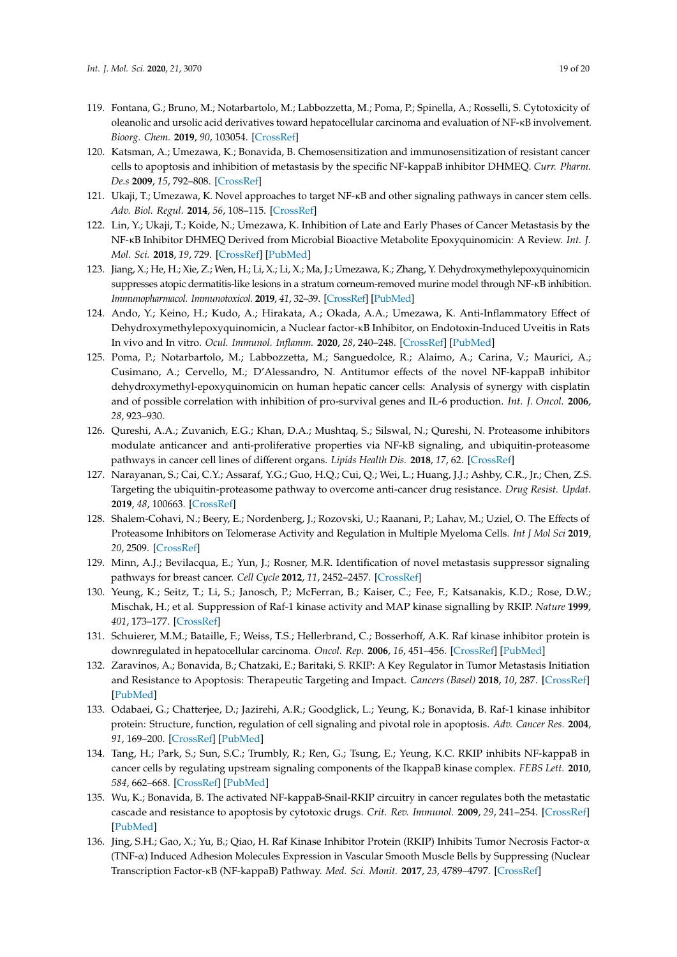- <span id="page-18-0"></span>119. Fontana, G.; Bruno, M.; Notarbartolo, M.; Labbozzetta, M.; Poma, P.; Spinella, A.; Rosselli, S. Cytotoxicity of oleanolic and ursolic acid derivatives toward hepatocellular carcinoma and evaluation of NF-κB involvement. *Bioorg. Chem.* **2019**, *90*, 103054. [\[CrossRef\]](http://dx.doi.org/10.1016/j.bioorg.2019.103054)
- <span id="page-18-1"></span>120. Katsman, A.; Umezawa, K.; Bonavida, B. Chemosensitization and immunosensitization of resistant cancer cells to apoptosis and inhibition of metastasis by the specific NF-kappaB inhibitor DHMEQ. *Curr. Pharm. De.s* **2009**, *15*, 792–808. [\[CrossRef\]](http://dx.doi.org/10.2174/138161209787582156)
- 121. Ukaji, T.; Umezawa, K. Novel approaches to target NF-κB and other signaling pathways in cancer stem cells. *Adv. Biol. Regul.* **2014**, *56*, 108–115. [\[CrossRef\]](http://dx.doi.org/10.1016/j.jbior.2014.06.001)
- 122. Lin, Y.; Ukaji, T.; Koide, N.; Umezawa, K. Inhibition of Late and Early Phases of Cancer Metastasis by the NF-κB Inhibitor DHMEQ Derived from Microbial Bioactive Metabolite Epoxyquinomicin: A Review. *Int. J. Mol. Sci.* **2018**, *19*, 729. [\[CrossRef\]](http://dx.doi.org/10.3390/ijms19030729) [\[PubMed\]](http://www.ncbi.nlm.nih.gov/pubmed/29510517)
- 123. Jiang, X.; He, H.; Xie, Z.; Wen, H.; Li, X.; Li, X.; Ma, J.; Umezawa, K.; Zhang, Y. Dehydroxymethylepoxyquinomicin suppresses atopic dermatitis-like lesions in a stratum corneum-removed murine model through NF-κB inhibition. *Immunopharmacol. Immunotoxicol.* **2019**, *41*, 32–39. [\[CrossRef\]](http://dx.doi.org/10.1080/08923973.2018.1510962) [\[PubMed\]](http://www.ncbi.nlm.nih.gov/pubmed/30724631)
- <span id="page-18-2"></span>124. Ando, Y.; Keino, H.; Kudo, A.; Hirakata, A.; Okada, A.A.; Umezawa, K. Anti-Inflammatory Effect of Dehydroxymethylepoxyquinomicin, a Nuclear factor-κB Inhibitor, on Endotoxin-Induced Uveitis in Rats In vivo and In vitro. *Ocul. Immunol. Inflamm.* **2020**, *28*, 240–248. [\[CrossRef\]](http://dx.doi.org/10.1080/09273948.2019.1568502) [\[PubMed\]](http://www.ncbi.nlm.nih.gov/pubmed/30950670)
- <span id="page-18-3"></span>125. Poma, P.; Notarbartolo, M.; Labbozzetta, M.; Sanguedolce, R.; Alaimo, A.; Carina, V.; Maurici, A.; Cusimano, A.; Cervello, M.; D'Alessandro, N. Antitumor effects of the novel NF-kappaB inhibitor dehydroxymethyl-epoxyquinomicin on human hepatic cancer cells: Analysis of synergy with cisplatin and of possible correlation with inhibition of pro-survival genes and IL-6 production. *Int. J. Oncol.* **2006**, *28*, 923–930.
- <span id="page-18-4"></span>126. Qureshi, A.A.; Zuvanich, E.G.; Khan, D.A.; Mushtaq, S.; Silswal, N.; Qureshi, N. Proteasome inhibitors modulate anticancer and anti-proliferative properties via NF-kB signaling, and ubiquitin-proteasome pathways in cancer cell lines of different organs. *Lipids Health Dis.* **2018**, *17*, 62. [\[CrossRef\]](http://dx.doi.org/10.1186/s12944-018-0697-5)
- 127. Narayanan, S.; Cai, C.Y.; Assaraf, Y.G.; Guo, H.Q.; Cui, Q.; Wei, L.; Huang, J.J.; Ashby, C.R., Jr.; Chen, Z.S. Targeting the ubiquitin-proteasome pathway to overcome anti-cancer drug resistance. *Drug Resist. Updat.* **2019**, *48*, 100663. [\[CrossRef\]](http://dx.doi.org/10.1016/j.drup.2019.100663)
- <span id="page-18-5"></span>128. Shalem-Cohavi, N.; Beery, E.; Nordenberg, J.; Rozovski, U.; Raanani, P.; Lahav, M.; Uziel, O. The Effects of Proteasome Inhibitors on Telomerase Activity and Regulation in Multiple Myeloma Cells. *Int J Mol Sci* **2019**, *20*, 2509. [\[CrossRef\]](http://dx.doi.org/10.3390/ijms20102509)
- <span id="page-18-6"></span>129. Minn, A.J.; Bevilacqua, E.; Yun, J.; Rosner, M.R. Identification of novel metastasis suppressor signaling pathways for breast cancer. *Cell Cycle* **2012**, *11*, 2452–2457. [\[CrossRef\]](http://dx.doi.org/10.4161/cc.20624)
- 130. Yeung, K.; Seitz, T.; Li, S.; Janosch, P.; McFerran, B.; Kaiser, C.; Fee, F.; Katsanakis, K.D.; Rose, D.W.; Mischak, H.; et al. Suppression of Raf-1 kinase activity and MAP kinase signalling by RKIP. *Nature* **1999**, *401*, 173–177. [\[CrossRef\]](http://dx.doi.org/10.1038/43686)
- 131. Schuierer, M.M.; Bataille, F.; Weiss, T.S.; Hellerbrand, C.; Bosserhoff, A.K. Raf kinase inhibitor protein is downregulated in hepatocellular carcinoma. *Oncol. Rep.* **2006**, *16*, 451–456. [\[CrossRef\]](http://dx.doi.org/10.3892/or.16.3.451) [\[PubMed\]](http://www.ncbi.nlm.nih.gov/pubmed/16865242)
- <span id="page-18-7"></span>132. Zaravinos, A.; Bonavida, B.; Chatzaki, E.; Baritaki, S. RKIP: A Key Regulator in Tumor Metastasis Initiation and Resistance to Apoptosis: Therapeutic Targeting and Impact. *Cancers (Basel)* **2018**, *10*, 287. [\[CrossRef\]](http://dx.doi.org/10.3390/cancers10090287) [\[PubMed\]](http://www.ncbi.nlm.nih.gov/pubmed/30149591)
- <span id="page-18-8"></span>133. Odabaei, G.; Chatterjee, D.; Jazirehi, A.R.; Goodglick, L.; Yeung, K.; Bonavida, B. Raf-1 kinase inhibitor protein: Structure, function, regulation of cell signaling and pivotal role in apoptosis. *Adv. Cancer Res.* **2004**, *91*, 169–200. [\[CrossRef\]](http://dx.doi.org/10.1016/S0065-230X(04)91005-6) [\[PubMed\]](http://www.ncbi.nlm.nih.gov/pubmed/15327891)
- <span id="page-18-9"></span>134. Tang, H.; Park, S.; Sun, S.C.; Trumbly, R.; Ren, G.; Tsung, E.; Yeung, K.C. RKIP inhibits NF-kappaB in cancer cells by regulating upstream signaling components of the IkappaB kinase complex. *FEBS Lett.* **2010**, *584*, 662–668. [\[CrossRef\]](http://dx.doi.org/10.1016/j.febslet.2009.12.051) [\[PubMed\]](http://www.ncbi.nlm.nih.gov/pubmed/20043910)
- 135. Wu, K.; Bonavida, B. The activated NF-kappaB-Snail-RKIP circuitry in cancer regulates both the metastatic cascade and resistance to apoptosis by cytotoxic drugs. *Crit. Rev. Immunol.* **2009**, *29*, 241–254. [\[CrossRef\]](http://dx.doi.org/10.1615/CritRevImmunol.v29.i3.40) [\[PubMed\]](http://www.ncbi.nlm.nih.gov/pubmed/19538137)
- <span id="page-18-10"></span>136. Jing, S.H.; Gao, X.; Yu, B.; Qiao, H. Raf Kinase Inhibitor Protein (RKIP) Inhibits Tumor Necrosis Factor-α (TNF-α) Induced Adhesion Molecules Expression in Vascular Smooth Muscle Bells by Suppressing (Nuclear Transcription Factor-κB (NF-kappaB) Pathway. *Med. Sci. Monit.* **2017**, *23*, 4789–4797. [\[CrossRef\]](http://dx.doi.org/10.12659/MSM.903661)